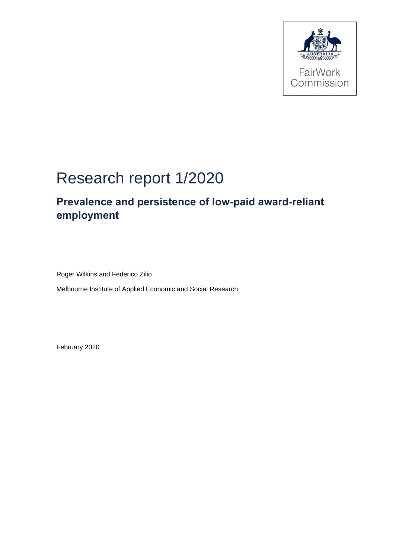

# Research report 1/2020

## **Prevalence and persistence of low-paid award-reliant employment**

Roger Wilkins and Federico Zilio

Melbourne Institute of Applied Economic and Social Research

February 2020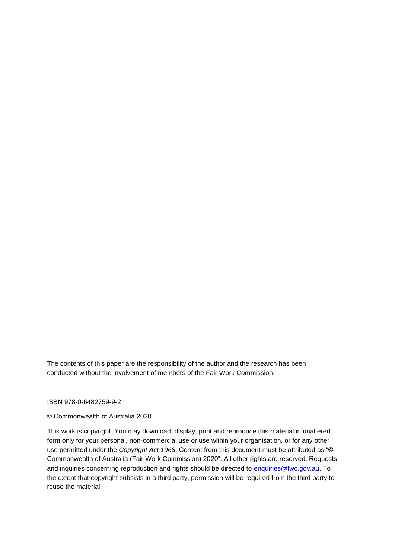The contents of this paper are the responsibility of the author and the research has been conducted without the involvement of members of the Fair Work Commission.

#### ISBN 978-0-6482759-9-2

#### © Commonwealth of Australia 2020

This work is copyright. You may download, display, print and reproduce this material in unaltered form only for your personal, non-commercial use or use within your organisation, or for any other use permitted under the *Copyright Act 1968*. Content from this document must be attributed as "© Commonwealth of Australia (Fair Work Commission) 2020". All other rights are reserved. Requests and inquiries concerning reproduction and rights should be directed to enquiries@fwc.gov.au. To the extent that copyright subsists in a third party, permission will be required from the third party to reuse the material.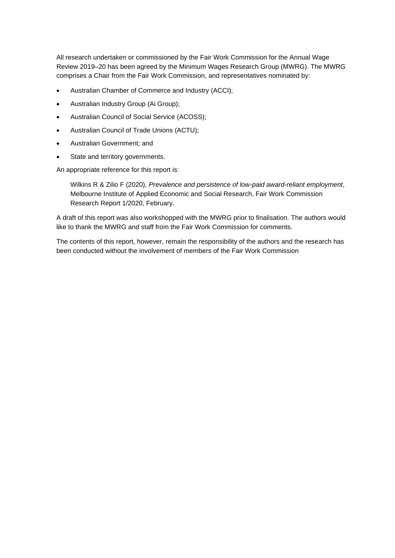All research undertaken or commissioned by the Fair Work Commission for the Annual Wage Review 2019–20 has been agreed by the Minimum Wages Research Group (MWRG). The MWRG comprises a Chair from the Fair Work Commission, and representatives nominated by:

- Australian Chamber of Commerce and Industry (ACCI);
- Australian Industry Group (Ai Group);
- Australian Council of Social Service (ACOSS);
- Australian Council of Trade Unions (ACTU);
- Australian Government; and
- State and territory governments.

An appropriate reference for this report is:

Wilkins R & Zilio F (2020), *Prevalence and persistence of low-paid award-reliant employment*, Melbourne Institute of Applied Economic and Social Research, Fair Work Commission Research Report 1/2020, February.

A draft of this report was also workshopped with the MWRG prior to finalisation. The authors would like to thank the MWRG and staff from the Fair Work Commission for comments.

The contents of this report, however, remain the responsibility of the authors and the research has been conducted without the involvement of members of the Fair Work Commission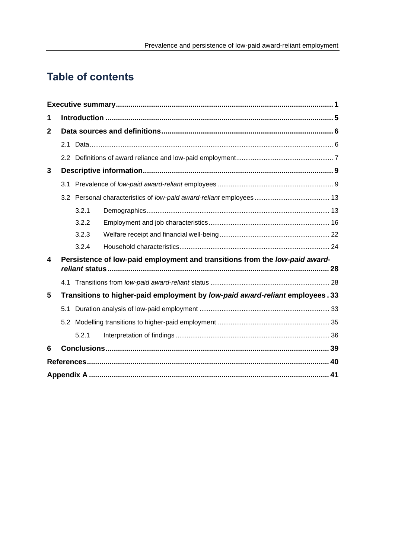## **Table of contents**

| 1            |                                                                             |       |                                                                               |  |  |  |
|--------------|-----------------------------------------------------------------------------|-------|-------------------------------------------------------------------------------|--|--|--|
| $\mathbf{2}$ |                                                                             |       |                                                                               |  |  |  |
|              | 2.1                                                                         |       |                                                                               |  |  |  |
|              |                                                                             |       |                                                                               |  |  |  |
| 3            |                                                                             |       |                                                                               |  |  |  |
|              | 3.1                                                                         |       |                                                                               |  |  |  |
|              |                                                                             |       |                                                                               |  |  |  |
|              |                                                                             | 3.2.1 |                                                                               |  |  |  |
|              |                                                                             | 3.2.2 |                                                                               |  |  |  |
|              |                                                                             | 3.2.3 |                                                                               |  |  |  |
|              |                                                                             | 3.2.4 |                                                                               |  |  |  |
| 4            | Persistence of low-paid employment and transitions from the low-paid award- |       |                                                                               |  |  |  |
|              |                                                                             |       |                                                                               |  |  |  |
| 5            |                                                                             |       | Transitions to higher-paid employment by low-paid award-reliant employees. 33 |  |  |  |
|              | 5.1                                                                         |       |                                                                               |  |  |  |
|              | 5.2                                                                         |       |                                                                               |  |  |  |
|              |                                                                             | 5.2.1 |                                                                               |  |  |  |
| 6            |                                                                             |       |                                                                               |  |  |  |
|              |                                                                             |       |                                                                               |  |  |  |
|              |                                                                             |       |                                                                               |  |  |  |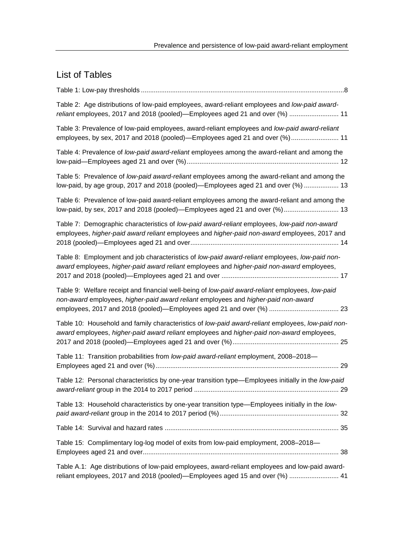## List of Tables

| Table 2: Age distributions of low-paid employees, award-reliant employees and low-paid award-<br>reliant employees, 2017 and 2018 (pooled)—Employees aged 21 and over (%)  11                  |
|------------------------------------------------------------------------------------------------------------------------------------------------------------------------------------------------|
| Table 3: Prevalence of low-paid employees, award-reliant employees and low-paid award-reliant<br>employees, by sex, 2017 and 2018 (pooled)—Employees aged 21 and over (%) 11                   |
| Table 4: Prevalence of low-paid award-reliant employees among the award-reliant and among the                                                                                                  |
| Table 5: Prevalence of low-paid award-reliant employees among the award-reliant and among the<br>low-paid, by age group, 2017 and 2018 (pooled)—Employees aged 21 and over (%)  13             |
| Table 6: Prevalence of low-paid award-reliant employees among the award-reliant and among the<br>low-paid, by sex, 2017 and 2018 (pooled)—Employees aged 21 and over (%) 13                    |
| Table 7: Demographic characteristics of low-paid award-reliant employees, low-paid non-award<br>employees, higher-paid award reliant employees and higher-paid non-award employees, 2017 and   |
| Table 8: Employment and job characteristics of low-paid award-reliant employees, low-paid non-<br>award employees, higher-paid award reliant employees and higher-paid non-award employees,    |
| Table 9: Welfare receipt and financial well-being of low-paid award-reliant employees, low-paid<br>non-award employees, higher-paid award reliant employees and higher-paid non-award          |
| Table 10: Household and family characteristics of low-paid award-reliant employees, low-paid non-<br>award employees, higher-paid award reliant employees and higher-paid non-award employees, |
| Table 11: Transition probabilities from low-paid award-reliant employment, 2008-2018-                                                                                                          |
| Table 12: Personal characteristics by one-year transition type—Employees initially in the low-paid                                                                                             |
| Table 13: Household characteristics by one-year transition type—Employees initially in the low-                                                                                                |
|                                                                                                                                                                                                |
| Table 15: Complimentary log-log model of exits from low-paid employment, 2008-2018-                                                                                                            |
| Table A.1: Age distributions of low-paid employees, award-reliant employees and low-paid award-<br>reliant employees, 2017 and 2018 (pooled)—Employees aged 15 and over (%)  41                |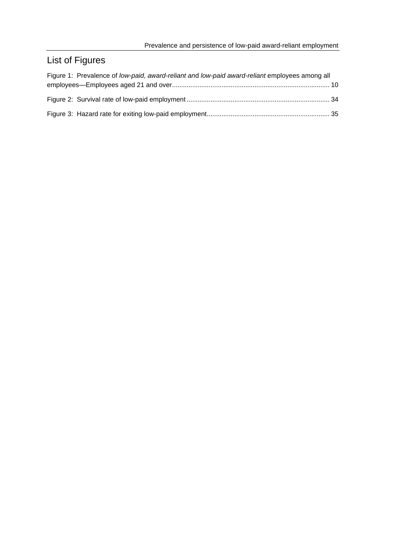## List of Figures

| Figure 1: Prevalence of low-paid, award-reliant and low-paid award-reliant employees among all |  |
|------------------------------------------------------------------------------------------------|--|
|                                                                                                |  |
|                                                                                                |  |
|                                                                                                |  |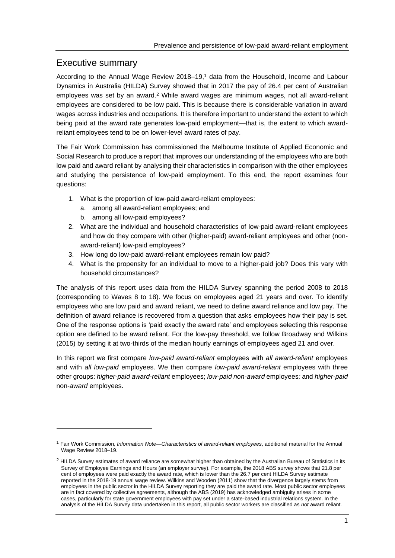## Executive summary

According to the Annual Wage Review 2018–19,<sup>1</sup> data from the Household, Income and Labour Dynamics in Australia (HILDA) Survey showed that in 2017 the pay of 26.4 per cent of Australian employees was set by an award.<sup>2</sup> While award wages are minimum wages, not all award-reliant employees are considered to be low paid. This is because there is considerable variation in award wages across industries and occupations. It is therefore important to understand the extent to which being paid at the award rate generates low-paid employment—that is, the extent to which awardreliant employees tend to be on lower-level award rates of pay.

The Fair Work Commission has commissioned the Melbourne Institute of Applied Economic and Social Research to produce a report that improves our understanding of the employees who are both low paid and award reliant by analysing their characteristics in comparison with the other employees and studying the persistence of low-paid employment. To this end, the report examines four questions:

- 1. What is the proportion of low-paid award-reliant employees:
	- a. among all award-reliant employees; and
	- b. among all low-paid employees?
- 2. What are the individual and household characteristics of low-paid award-reliant employees and how do they compare with other (higher-paid) award-reliant employees and other (nonaward-reliant) low-paid employees?
- 3. How long do low-paid award-reliant employees remain low paid?
- 4. What is the propensity for an individual to move to a higher-paid job? Does this vary with household circumstances?

The analysis of this report uses data from the HILDA Survey spanning the period 2008 to 2018 (corresponding to Waves 8 to 18). We focus on employees aged 21 years and over. To identify employees who are low paid and award reliant, we need to define award reliance and low pay. The definition of award reliance is recovered from a question that asks employees how their pay is set. One of the response options is 'paid exactly the award rate' and employees selecting this response option are defined to be award reliant. For the low-pay threshold, we follow Broadway and Wilkins (2015) by setting it at two-thirds of the median hourly earnings of employees aged 21 and over.

In this report we first compare *low-paid award-reliant* employees with *all award-reliant* employees and with *all low-paid* employees. We then compare *low-paid award-reliant* employees with three other groups: *higher-paid award-reliant* employees; *low-paid non-award* employees*;* and *higher-paid* non-*award* employees.

<sup>1</sup> Fair Work Commission, *Information Note—Characteristics of award-reliant employees*, additional material for the Annual Wage Review 2018–19.

 $<sup>2</sup>$  HILDA Survey estimates of award reliance are somewhat higher than obtained by the Australian Bureau of Statistics in its</sup> Survey of Employee Earnings and Hours (an employer survey). For example, the 2018 ABS survey shows that 21.8 per cent of employees were paid exactly the award rate, which is lower than the 26.7 per cent HILDA Survey estimate reported in the 2018-19 annual wage review. Wilkins and Wooden (2011) show that the divergence largely stems from employees in the public sector in the HILDA Survey reporting they are paid the award rate. Most public sector employees are in fact covered by collective agreements, although the ABS (2019) has acknowledged ambiguity arises in some cases, particularly for state government employees with pay set under a state-based industrial relations system. In the analysis of the HILDA Survey data undertaken in this report, all public sector workers are classified as *not* award reliant.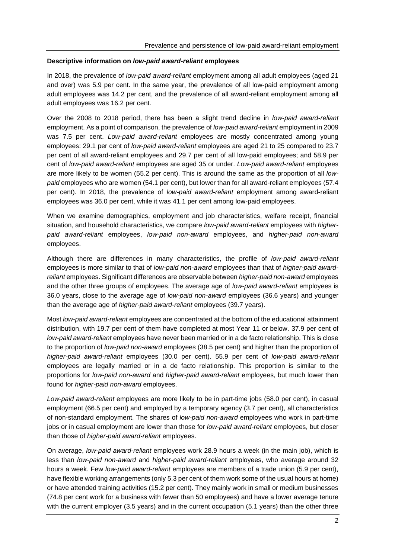#### **Descriptive information on** *low-paid award-reliant* **employees**

In 2018, the prevalence of *low-paid award-reliant* employment among all adult employees (aged 21 and over) was 5.9 per cent. In the same year, the prevalence of all low-paid employment among adult employees was 14.2 per cent, and the prevalence of all award-reliant employment among all adult employees was 16.2 per cent.

Over the 2008 to 2018 period, there has been a slight trend decline in *low-paid award-reliant* employment. As a point of comparison, the prevalence of *low-paid award-reliant* employment in 2009 was 7.5 per cent. *Low-paid award-reliant* employees are mostly concentrated among young employees: 29.1 per cent of *low-paid award-reliant* employees are aged 21 to 25 compared to 23.7 per cent of all award-reliant employees and 29.7 per cent of all low-paid employees; and 58.9 per cent of *low-paid award-reliant* employees are aged 35 or under. *Low-paid award-reliant* employees are more likely to be women (55.2 per cent). This is around the same as the proportion of all *lowpaid* employees who are women (54.1 per cent), but lower than for all award-reliant employees (57.4 per cent). In 2018, the prevalence of *low-paid award-reliant* employment among award-reliant employees was 36.0 per cent, while it was 41.1 per cent among low-paid employees.

When we examine demographics, employment and job characteristics, welfare receipt, financial situation, and household characteristics, we compare *low-paid award-reliant* employees with *higherpaid award-reliant* employees, *low-paid non-award* employees, and *higher-paid non-award* employees.

Although there are differences in many characteristics, the profile of *low-paid award-reliant* employees is more similar to that of *low-paid non-award* employees than that of *higher-paid awardreliant* employees. Significant differences are observable between *higher-paid non-award* employees and the other three groups of employees. The average age of *low-paid award-reliant* employees is 36.0 years, close to the average age of *low-paid non-award* employees (36.6 years) and younger than the average age of *higher-paid award-reliant* employees (39.7 years).

Most *low-paid award-reliant* employees are concentrated at the bottom of the educational attainment distribution, with 19.7 per cent of them have completed at most Year 11 or below. 37.9 per cent of *low-paid award-reliant* employees have never been married or in a de facto relationship. This is close to the proportion of *low-paid non-award* employees (38.5 per cent) and higher than the proportion of *higher-paid award-reliant* employees (30.0 per cent). 55.9 per cent of *low-paid award-reliant* employees are legally married or in a de facto relationship. This proportion is similar to the proportions for *low-paid non-award* and *higher-paid award-reliant* employees, but much lower than found for *higher-paid non-award* employees.

*Low-paid award-reliant* employees are more likely to be in part-time jobs (58.0 per cent), in casual employment (66.5 per cent) and employed by a temporary agency (3.7 per cent), all characteristics of non-standard employment. The shares of *low-paid non-award* employees who work in part-time jobs or in casual employment are lower than those for *low-paid award-reliant* employees, but closer than those of *higher-paid award-reliant* employees.

On average, *low-paid award-reliant* employees work 28.9 hours a week (in the main job), which is less than *low-paid non-award* and *higher-paid award-reliant* employees, who average around 32 hours a week. Few *low-paid award-reliant* employees are members of a trade union (5.9 per cent), have flexible working arrangements (only 5.3 per cent of them work some of the usual hours at home) or have attended training activities (15.2 per cent). They mainly work in small or medium businesses (74.8 per cent work for a business with fewer than 50 employees) and have a lower average tenure with the current employer (3.5 years) and in the current occupation (5.1 years) than the other three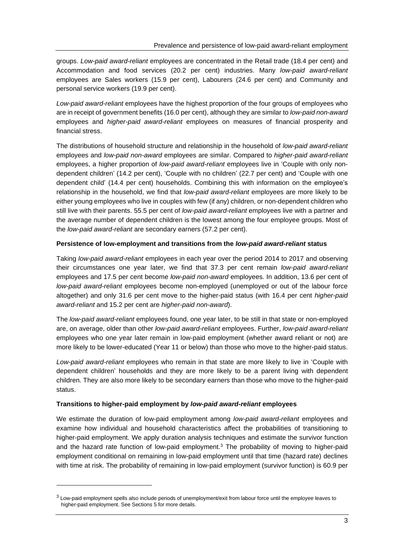groups. *Low-paid award-reliant* employees are concentrated in the Retail trade (18.4 per cent) and Accommodation and food services (20.2 per cent) industries. Many *low-paid award-reliant* employees are Sales workers (15.9 per cent), Labourers (24.6 per cent) and Community and personal service workers (19.9 per cent).

*Low-paid award-reliant* employees have the highest proportion of the four groups of employees who are in receipt of government benefits (16.0 per cent), although they are similar to *low-paid non-award* employees and *higher-paid award-reliant* employees on measures of financial prosperity and financial stress.

The distributions of household structure and relationship in the household of *low-paid award-reliant* employees and *low-paid non-award* employees are similar. Compared to *higher-paid award-reliant* employees, a higher proportion of *low-paid award-reliant* employees live in 'Couple with only nondependent children' (14.2 per cent), 'Couple with no children' (22.7 per cent) and 'Couple with one dependent child' (14.4 per cent) households. Combining this with information on the employee's relationship in the household, we find that *low-paid award-reliant* employees are more likely to be either young employees who live in couples with few (if any) children, or non-dependent children who still live with their parents. 55.5 per cent of *low-paid award-reliant* employees live with a partner and the average number of dependent children is the lowest among the four employee groups. Most of the *low-paid award-reliant* are secondary earners (57.2 per cent).

#### **Persistence of low-employment and transitions from the** *low-paid award-reliant* **status**

Taking *low-paid award-reliant* employees in each year over the period 2014 to 2017 and observing their circumstances one year later, we find that 37.3 per cent remain *low-paid award-reliant* employees and 17.5 per cent become *low-paid non-award* employees*.* In addition, 13.6 per cent of *low-paid award-reliant* employees become non-employed (unemployed or out of the labour force altogether) and only 31.6 per cent move to the higher-paid status (with 16.4 per cent *higher-paid award-reliant* and 15.2 per cent are *higher-paid non-award*).

The *low-paid award-reliant* employees found, one year later, to be still in that state or non-employed are, on average, older than other *low-paid award-reliant* employees. Further, *low-paid award-reliant* employees who one year later remain in low-paid employment (whether award reliant or not) are more likely to be lower-educated (Year 11 or below) than those who move to the higher-paid status.

*Low-paid award-reliant* employees who remain in that state are more likely to live in 'Couple with dependent children' households and they are more likely to be a parent living with dependent children. They are also more likely to be secondary earners than those who move to the higher-paid status.

#### **Transitions to higher-paid employment by** *low-paid award-reliant* **employees**

We estimate the duration of low-paid employment among *low-paid award-reliant* employees and examine how individual and household characteristics affect the probabilities of transitioning to higher-paid employment. We apply duration analysis techniques and estimate the survivor function and the hazard rate function of low-paid employment.<sup>3</sup> The probability of moving to higher-paid employment conditional on remaining in low-paid employment until that time (hazard rate) declines with time at risk. The probability of remaining in low-paid employment (survivor function) is 60.9 per

 $3$  Low-paid employment spells also include periods of unemployment/exit from labour force until the employee leaves to higher-paid employment. See Sections 5 for more details.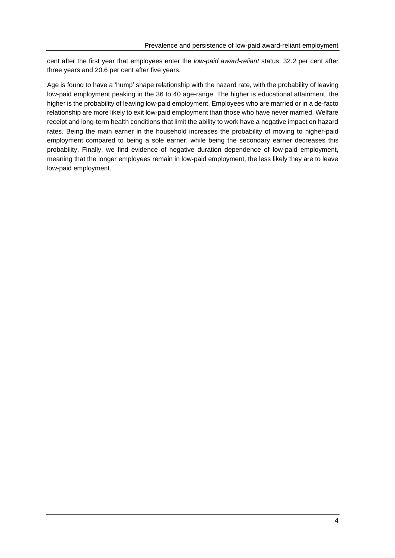cent after the first year that employees enter the *low-paid award-reliant* status, 32.2 per cent after three years and 20.6 per cent after five years.

Age is found to have a 'hump' shape relationship with the hazard rate, with the probability of leaving low-paid employment peaking in the 36 to 40 age-range. The higher is educational attainment, the higher is the probability of leaving low-paid employment. Employees who are married or in a de-facto relationship are more likely to exit low-paid employment than those who have never married. Welfare receipt and long-term health conditions that limit the ability to work have a negative impact on hazard rates. Being the main earner in the household increases the probability of moving to higher-paid employment compared to being a sole earner, while being the secondary earner decreases this probability. Finally, we find evidence of negative duration dependence of low-paid employment, meaning that the longer employees remain in low-paid employment, the less likely they are to leave low-paid employment.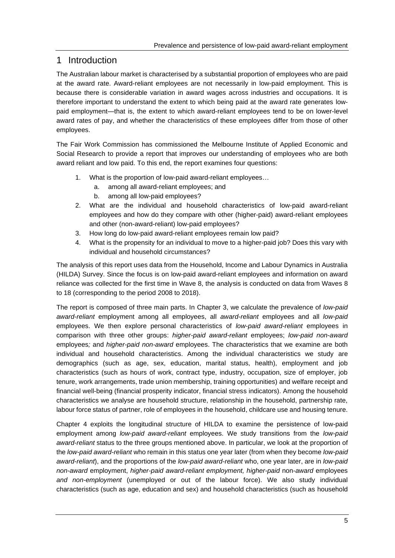## 1 Introduction

The Australian labour market is characterised by a substantial proportion of employees who are paid at the award rate. Award-reliant employees are not necessarily in low-paid employment. This is because there is considerable variation in award wages across industries and occupations. It is therefore important to understand the extent to which being paid at the award rate generates lowpaid employment—that is, the extent to which award-reliant employees tend to be on lower-level award rates of pay, and whether the characteristics of these employees differ from those of other employees.

The Fair Work Commission has commissioned the Melbourne Institute of Applied Economic and Social Research to provide a report that improves our understanding of employees who are both award reliant and low paid. To this end, the report examines four questions:

- 1. What is the proportion of low-paid award-reliant employees…
	- a. among all award-reliant employees; and
	- b. among all low-paid employees?
- 2. What are the individual and household characteristics of low-paid award-reliant employees and how do they compare with other (higher-paid) award-reliant employees and other (non-award-reliant) low-paid employees?
- 3. How long do low-paid award-reliant employees remain low paid?
- 4. What is the propensity for an individual to move to a higher-paid job? Does this vary with individual and household circumstances?

The analysis of this report uses data from the Household, Income and Labour Dynamics in Australia (HILDA) Survey. Since the focus is on low-paid award-reliant employees and information on award reliance was collected for the first time in Wave 8, the analysis is conducted on data from Waves 8 to 18 (corresponding to the period 2008 to 2018).

The report is composed of three main parts. In Chapter 3, we calculate the prevalence of *low-paid award-reliant* employment among all employees, all *award-reliant* employees and all *low-paid* employees. We then explore personal characteristics of *low-paid award-reliant* employees in comparison with three other groups: *higher-paid award-reliant* employees; *low-paid non-award* employees*;* and *higher-paid non-award* employees. The characteristics that we examine are both individual and household characteristics. Among the individual characteristics we study are demographics (such as age, sex, education, marital status, health), employment and job characteristics (such as hours of work, contract type, industry, occupation, size of employer, job tenure, work arrangements, trade union membership, training opportunities) and welfare receipt and financial well-being (financial prosperity indicator, financial stress indicators). Among the household characteristics we analyse are household structure, relationship in the household, partnership rate, labour force status of partner, role of employees in the household, childcare use and housing tenure.

Chapter 4 exploits the longitudinal structure of HILDA to examine the persistence of low-paid employment among *low-paid award-reliant* employees. We study transitions from the *low-paid award-reliant* status to the three groups mentioned above. In particular, we look at the proportion of the *low-paid award-reliant* who remain in this status one year later (from when they become *low-paid award-reliant*), and the proportions of the *low-paid award-reliant* who, one year later, are in *low-paid non-award* employment, *higher-paid award-reliant employment, higher-paid* non-*award* employees *and non-employment* (unemployed or out of the labour force). We also study individual characteristics (such as age, education and sex) and household characteristics (such as household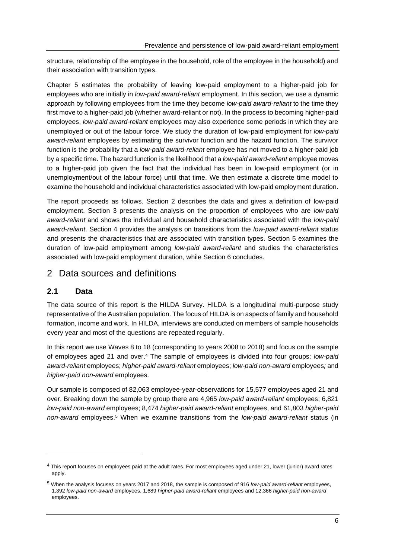structure, relationship of the employee in the household, role of the employee in the household) and their association with transition types.

Chapter 5 estimates the probability of leaving low-paid employment to a higher-paid job for employees who are initially in *low-paid award-reliant* employment. In this section, we use a dynamic approach by following employees from the time they become *low-paid award-reliant* to the time they first move to a higher-paid job (whether award-reliant or not). In the process to becoming higher-paid employees, *low-paid award-reliant* employees may also experience some periods in which they are unemployed or out of the labour force. We study the duration of low-paid employment for *low-paid award-reliant* employees by estimating the survivor function and the hazard function. The survivor function is the probability that a *low-paid award-reliant* employee has not moved to a higher-paid job by a specific time. The hazard function is the likelihood that a *low-paid award-reliant* employee moves to a higher-paid job given the fact that the individual has been in low-paid employment (or in unemployment/out of the labour force) until that time. We then estimate a discrete time model to examine the household and individual characteristics associated with low-paid employment duration.

The report proceeds as follows. Section 2 describes the data and gives a definition of low-paid employment. Section 3 presents the analysis on the proportion of employees who are *low-paid award-reliant* and shows the individual and household characteristics associated with the *low-paid award-reliant*. Section 4 provides the analysis on transitions from the *low-paid award-reliant* status and presents the characteristics that are associated with transition types. Section 5 examines the duration of low-paid employment among *low-paid award-reliant* and studies the characteristics associated with low-paid employment duration, while Section 6 concludes.

## 2 Data sources and definitions

### **2.1 Data**

The data source of this report is the HILDA Survey. HILDA is a longitudinal multi-purpose study representative of the Australian population. The focus of HILDA is on aspects of family and household formation, income and work. In HILDA, interviews are conducted on members of sample households every year and most of the questions are repeated regularly.

In this report we use Waves 8 to 18 (corresponding to years 2008 to 2018) and focus on the sample of employees aged 21 and over. <sup>4</sup> The sample of employees is divided into four groups: *low-paid award-reliant* employees; *higher-paid award-reliant* employees; *low-paid non-award* employees*;* and *higher-paid non-award* employees.

Our sample is composed of 82,063 employee-year-observations for 15,577 employees aged 21 and over. Breaking down the sample by group there are 4,965 *low-paid award-reliant* employees; 6,821 *low-paid non-award* employees; 8,474 *higher-paid award-reliant* employees, and 61,803 *higher-paid non-award* employees. <sup>5</sup> When we examine transitions from the *low-paid award-reliant* status (in

<sup>4</sup> This report focuses on employees paid at the adult rates. For most employees aged under 21, lower (junior) award rates apply.

<sup>5</sup> When the analysis focuses on years 2017 and 2018, the sample is composed of 916 *low-paid award-reliant* employees, 1,392 *low-paid non-award* employees, 1,689 *higher-paid award-reliant* employees and 12,366 *higher-paid non-award* employees.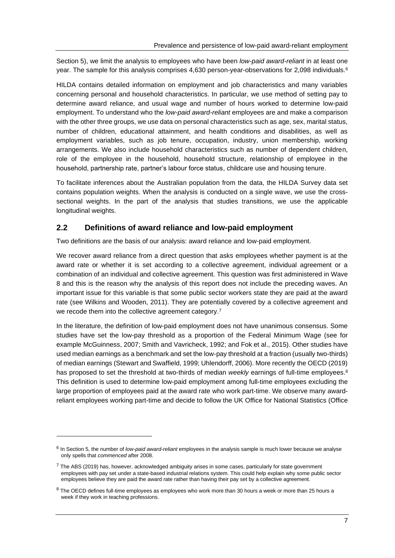Section 5), we limit the analysis to employees who have been *low-paid award-reliant* in at least one year. The sample for this analysis comprises 4,630 person-year-observations for 2,098 individuals.<sup>6</sup>

HILDA contains detailed information on employment and job characteristics and many variables concerning personal and household characteristics. In particular, we use method of setting pay to determine award reliance, and usual wage and number of hours worked to determine low-paid employment. To understand who the *low-paid award-reliant* employees are and make a comparison with the other three groups, we use data on personal characteristics such as age, sex, marital status, number of children, educational attainment, and health conditions and disabilities, as well as employment variables, such as job tenure, occupation, industry, union membership, working arrangements. We also include household characteristics such as number of dependent children, role of the employee in the household, household structure, relationship of employee in the household, partnership rate, partner's labour force status, childcare use and housing tenure.

To facilitate inferences about the Australian population from the data, the HILDA Survey data set contains population weights. When the analysis is conducted on a single wave, we use the crosssectional weights. In the part of the analysis that studies transitions, we use the applicable longitudinal weights.

#### **2.2 Definitions of award reliance and low-paid employment**

Two definitions are the basis of our analysis: award reliance and low-paid employment.

We recover award reliance from a direct question that asks employees whether payment is at the award rate or whether it is set according to a collective agreement, individual agreement or a combination of an individual and collective agreement. This question was first administered in Wave 8 and this is the reason why the analysis of this report does not include the preceding waves. An important issue for this variable is that some public sector workers state they are paid at the award rate (see Wilkins and Wooden, 2011). They are potentially covered by a collective agreement and we recode them into the collective agreement category.<sup>7</sup>

In the literature, the definition of low-paid employment does not have unanimous consensus. Some studies have set the low-pay threshold as a proportion of the Federal Minimum Wage (see for example McGuinness, 2007; Smith and Vavricheck, 1992; and Fok et al., 2015). Other studies have used median earnings as a benchmark and set the low-pay threshold at a fraction (usually two-thirds) of median earnings (Stewart and Swaffield, 1999; Uhlendorff, 2006). More recently the OECD (2019) has proposed to set the threshold at two-thirds of median *weekly* earnings of full-time employees.<sup>8</sup> This definition is used to determine low-paid employment among full-time employees excluding the large proportion of employees paid at the award rate who work part-time. We observe many awardreliant employees working part-time and decide to follow the UK Office for National Statistics (Office

<sup>6</sup> In Section 5, the number of *low-paid award-reliant* employees in the analysis sample is much lower because we analyse only spells that *commenced* after 2008.

 $7$  The ABS (2019) has, however, acknowledged ambiguity arises in some cases, particularly for state government employees with pay set under a state-based industrial relations system. This could help explain why some public sector employees believe they are paid the award rate rather than having their pay set by a collective agreement.

<sup>&</sup>lt;sup>8</sup> The OECD defines full-time employees as employees who work more than 30 hours a week or more than 25 hours a week if they work in teaching professions.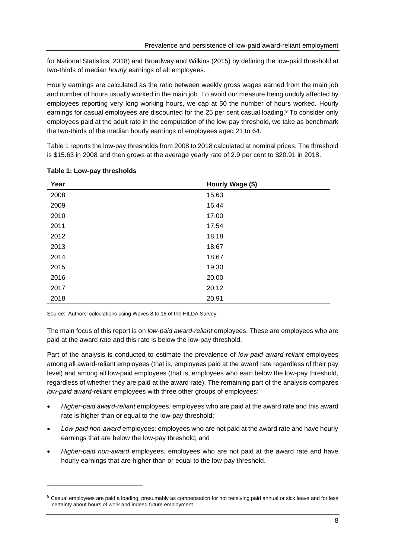for National Statistics, 2018) and Broadway and Wilkins (2015) by defining the low-paid threshold at two-thirds of median *hourly* earnings of all employees.

Hourly earnings are calculated as the ratio between weekly gross wages earned from the main job and number of hours usually worked in the main job. To avoid our measure being unduly affected by employees reporting very long working hours, we cap at 50 the number of hours worked. Hourly earnings for casual employees are discounted for the 25 per cent casual loading.<sup>9</sup> To consider only employees paid at the adult rate in the computation of the low-pay threshold, we take as benchmark the two-thirds of the median hourly earnings of employees aged 21 to 64.

Table 1 reports the low-pay thresholds from 2008 to 2018 calculated at nominal prices. The threshold is \$15.63 in 2008 and then grows at the average yearly rate of 2.9 per cent to \$20.91 in 2018.

| Year | Hourly Wage (\$) |
|------|------------------|
| 2008 | 15.63            |
| 2009 | 16.44            |
| 2010 | 17.00            |
| 2011 | 17.54            |
| 2012 | 18.18            |
| 2013 | 18.67            |
| 2014 | 18.67            |
| 2015 | 19.30            |
| 2016 | 20.00            |
| 2017 | 20.12            |
| 2018 | 20.91            |

#### <span id="page-13-0"></span>**Table 1: Low-pay thresholds**

Source: Authors' calculations using Waves 8 to 18 of the HILDA Survey.

The main focus of this report is on *low-paid award-reliant* employees. These are employees who are paid at the award rate and this rate is below the low-pay threshold.

Part of the analysis is conducted to estimate the prevalence of *low-paid award-reliant* employees among all award-reliant employees (that is, employees paid at the award rate regardless of their pay level) and among all low-paid employees (that is, employees who earn below the low-pay threshold, regardless of whether they are paid at the award rate). The remaining part of the analysis compares *low-paid award-reliant* employees with three other groups of employees:

- *Higher-paid award-reliant* employees*:* employees who are paid at the award rate and this award rate is higher than or equal to the low-pay threshold;
- *Low-paid non-award* employees*:* employees who are not paid at the award rate and have hourly earnings that are below the low-pay threshold; and
- *Higher-paid non-award* employees*:* employees who are not paid at the award rate and have hourly earnings that are higher than or equal to the low-pay threshold.

<sup>9</sup> Casual employees are paid a loading, presumably as compensation for not receiving paid annual or sick leave and for less certainty about hours of work and indeed future employment.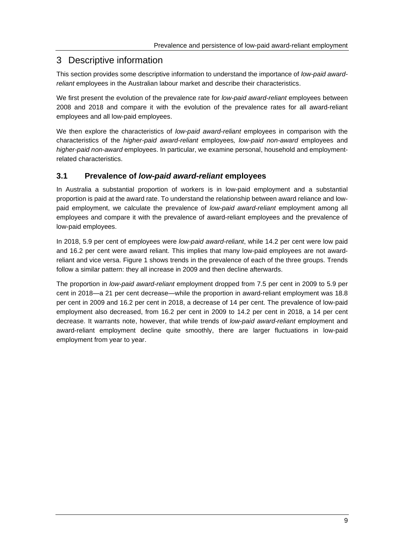## 3 Descriptive information

This section provides some descriptive information to understand the importance of *low-paid awardreliant* employees in the Australian labour market and describe their characteristics.

We first present the evolution of the prevalence rate for *low-paid award-reliant* employees between 2008 and 2018 and compare it with the evolution of the prevalence rates for all award-reliant employees and all low-paid employees.

We then explore the characteristics of *low-paid award-reliant* employees in comparison with the characteristics of the *higher-paid award-reliant* employees*, low-paid non-award* employees and *higher-paid non-award* employees. In particular, we examine personal, household and employmentrelated characteristics.

#### **3.1 Prevalence of** *low-paid award-reliant* **employees**

In Australia a substantial proportion of workers is in low-paid employment and a substantial proportion is paid at the award rate. To understand the relationship between award reliance and lowpaid employment, we calculate the prevalence of *low-paid award-reliant* employment among all employees and compare it with the prevalence of award-reliant employees and the prevalence of low-paid employees.

In 2018, 5.9 per cent of employees were *low-paid award-reliant*, while 14.2 per cent were low paid and 16.2 per cent were award reliant. This implies that many low-paid employees are not awardreliant and vice versa. Figure 1 shows trends in the prevalence of each of the three groups. Trends follow a similar pattern: they all increase in 2009 and then decline afterwards.

The proportion in *low-paid award-reliant* employment dropped from 7.5 per cent in 2009 to 5.9 per cent in 2018—a 21 per cent decrease—while the proportion in award-reliant employment was 18.8 per cent in 2009 and 16.2 per cent in 2018, a decrease of 14 per cent. The prevalence of low-paid employment also decreased, from 16.2 per cent in 2009 to 14.2 per cent in 2018, a 14 per cent decrease. It warrants note, however, that while trends of *low-paid award-reliant* employment and award-reliant employment decline quite smoothly, there are larger fluctuations in low-paid employment from year to year.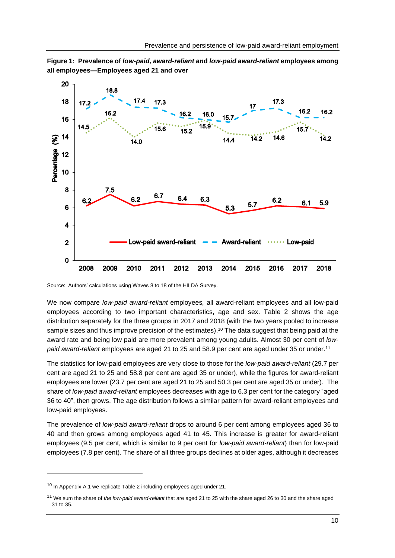<span id="page-15-0"></span>**Figure 1: Prevalence of** *low-paid, award-reliant an***d** *low-paid award-reliant* **employees among all employees—Employees aged 21 and over**



Source: Authors' calculations using Waves 8 to 18 of the HILDA Survey.

We now compare *low-paid award-reliant* employees*,* all award-reliant employees and all low-paid employees according to two important characteristics, age and sex. Table 2 shows the age distribution separately for the three groups in 2017 and 2018 (with the two years pooled to increase sample sizes and thus improve precision of the estimates).<sup>10</sup> The data suggest that being paid at the award rate and being low paid are more prevalent among young adults. Almost 30 per cent of *lowpaid award-reliant* employees are aged 21 to 25 and 58.9 per cent are aged under 35 or under. 11

The statistics for low-paid employees are very close to those for the *low-paid award-reliant* (29.7 per cent are aged 21 to 25 and 58.8 per cent are aged 35 or under), while the figures for award-reliant employees are lower (23.7 per cent are aged 21 to 25 and 50.3 per cent are aged 35 or under). The share of *low-paid award-reliant* employees decreases with age to 6.3 per cent for the category "aged 36 to 40", then grows. The age distribution follows a similar pattern for award-reliant employees and low-paid employees.

The prevalence of *low-paid award-reliant* drops to around 6 per cent among employees aged 36 to 40 and then grows among employees aged 41 to 45. This increase is greater for award-reliant employees (9.5 per cent, which is similar to 9 per cent for *low-paid award-reliant*) than for low-paid employees (7.8 per cent). The share of all three groups declines at older ages, although it decreases

<sup>&</sup>lt;sup>10</sup> In Appendix A.1 we replicate Table 2 including employees aged under 21.

<sup>11</sup> We sum the share of *the low-paid award-reliant* that are aged 21 to 25 with the share aged 26 to 30 and the share aged 31 to 35.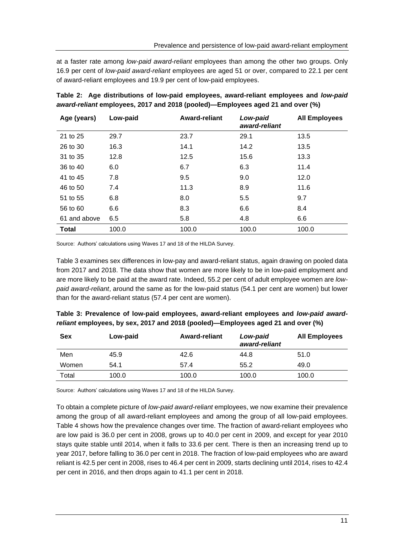at a faster rate among *low-paid award-reliant* employees than among the other two groups. Only 16.9 per cent of *low-paid award-reliant* employees are aged 51 or over, compared to 22.1 per cent of award-reliant employees and 19.9 per cent of low-paid employees.

| Age (years)  | Low-paid | Award-reliant | Low-paid<br>award-reliant | <b>All Employees</b> |
|--------------|----------|---------------|---------------------------|----------------------|
| 21 to 25     | 29.7     | 23.7          | 29.1                      | 13.5                 |
| 26 to 30     | 16.3     | 14.1          | 14.2                      | 13.5                 |
| 31 to 35     | 12.8     | 12.5          | 15.6                      | 13.3                 |
| 36 to 40     | 6.0      | 6.7           | 6.3                       | 11.4                 |
| 41 to 45     | 7.8      | 9.5           | 9.0                       | 12.0                 |
| 46 to 50     | 7.4      | 11.3          | 8.9                       | 11.6                 |
| 51 to 55     | 6.8      | 8.0           | 5.5                       | 9.7                  |
| 56 to 60     | 6.6      | 8.3           | 6.6                       | 8.4                  |
| 61 and above | 6.5      | 5.8           | 4.8                       | 6.6                  |
| <b>Total</b> | 100.0    | 100.0         | 100.0                     | 100.0                |

<span id="page-16-0"></span>

|  |  | Table 2: Age distributions of low-paid employees, award-reliant employees and low-paid |  |  |
|--|--|----------------------------------------------------------------------------------------|--|--|
|  |  | award-reliant employees, 2017 and 2018 (pooled)—Employees aged 21 and over (%)         |  |  |

Source: Authors' calculations using Waves 17 and 18 of the HILDA Survey.

Table 3 examines sex differences in low-pay and award-reliant status, again drawing on pooled data from 2017 and 2018. The data show that women are more likely to be in low-paid employment and are more likely to be paid at the award rate. Indeed, 55.2 per cent of adult employee women are *lowpaid award-reliant*, around the same as for the low-paid status (54.1 per cent are women) but lower than for the award-reliant status (57.4 per cent are women).

<span id="page-16-1"></span>

| Table 3: Prevalence of low-paid employees, award-reliant employees and low-paid award- |  |
|----------------------------------------------------------------------------------------|--|
| reliant employees, by sex, 2017 and 2018 (pooled)—Employees aged 21 and over (%)       |  |

| Sex   | Low-paid | <b>Award-reliant</b> | Low-paid<br>award-reliant | <b>All Employees</b> |
|-------|----------|----------------------|---------------------------|----------------------|
| Men   | 45.9     | 42.6                 | 44.8                      | 51.0                 |
| Women | 54.1     | 57.4                 | 55.2                      | 49.0                 |
| Total | 100.0    | 100.0                | 100.0                     | 100.0                |

Source: Authors' calculations using Waves 17 and 18 of the HILDA Survey.

To obtain a complete picture of *low-paid award-reliant* employees, we now examine their prevalence among the group of all award-reliant employee*s* and among the group of all low-paid employees. Table 4 shows how the prevalence changes over time. The fraction of award-reliant employee*s* who are low paid is 36.0 per cent in 2008, grows up to 40.0 per cent in 2009, and except for year 2010 stays quite stable until 2014, when it falls to 33.6 per cent. There is then an increasing trend up to year 2017, before falling to 36.0 per cent in 2018. The fraction of low-paid employees who are award reliant is 42.5 per cent in 2008, rises to 46.4 per cent in 2009, starts declining until 2014, rises to 42.4 per cent in 2016, and then drops again to 41.1 per cent in 2018.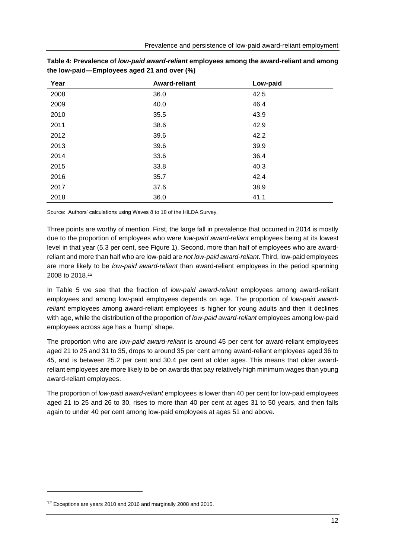| Year | <b>Award-reliant</b> | Low-paid |
|------|----------------------|----------|
| 2008 | 36.0                 | 42.5     |
| 2009 | 40.0                 | 46.4     |
| 2010 | 35.5                 | 43.9     |
| 2011 | 38.6                 | 42.9     |
| 2012 | 39.6                 | 42.2     |
| 2013 | 39.6                 | 39.9     |
| 2014 | 33.6                 | 36.4     |
| 2015 | 33.8                 | 40.3     |
| 2016 | 35.7                 | 42.4     |
| 2017 | 37.6                 | 38.9     |
| 2018 | 36.0                 | 41.1     |

<span id="page-17-0"></span>

| Table 4: Prevalence of low-paid award-reliant employees among the award-reliant and among |  |
|-------------------------------------------------------------------------------------------|--|
| the low-paid—Employees aged 21 and over (%)                                               |  |

Source: Authors' calculations using Waves 8 to 18 of the HILDA Survey.

Three points are worthy of mention. First, the large fall in prevalence that occurred in 2014 is mostly due to the proportion of employees who were *low-paid award-reliant* employees being at its lowest level in that year (5.3 per cent, see Figure 1). Second, more than half of employees who are awardreliant and more than half who are low-paid are *not low-paid award-reliant*. Third, low-paid employees are more likely to be *low-paid award-reliant* than award-reliant employees in the period spanning 2008 to 2018*. 12*

In Table 5 we see that the fraction of *low-paid award-reliant* employees among award-reliant employees and among low-paid employees depends on age. The proportion of *low-paid awardreliant* employees among award-reliant employee*s* is higher for young adults and then it declines with age, while the distribution of the proportion of *low-paid award-reliant* employees among low-paid employees across age has a 'hump' shape.

The proportion who are *low-paid award-reliant* is around 45 per cent for award-reliant employees aged 21 to 25 and 31 to 35, drops to around 35 per cent among award-reliant employees aged 36 to 45, and is between 25.2 per cent and 30.4 per cent at older ages. This means that older awardreliant employees are more likely to be on awards that pay relatively high minimum wages than young award-reliant employees.

The proportion of *low-paid award-reliant* employees is lower than 40 per cent for low-paid employees aged 21 to 25 and 26 to 30, rises to more than 40 per cent at ages 31 to 50 years, and then falls again to under 40 per cent among low-paid employees at ages 51 and above.

<sup>12</sup> Exceptions are years 2010 and 2016 and marginally 2008 and 2015.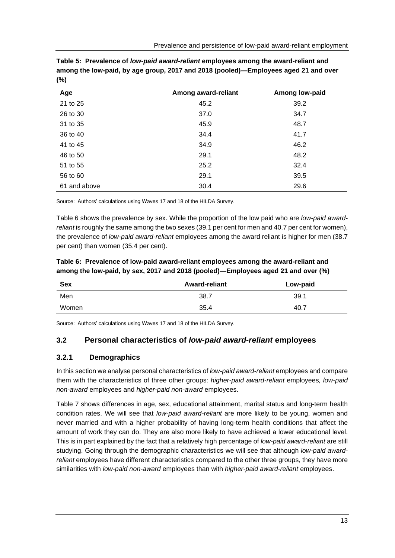<span id="page-18-0"></span>

| Table 5: Prevalence of low-paid award-reliant employees among the award-reliant and |
|-------------------------------------------------------------------------------------|
| among the low-paid, by age group, 2017 and 2018 (pooled)—Employees aged 21 and over |
| (%)                                                                                 |

| Age          | Among award-reliant | Among low-paid |
|--------------|---------------------|----------------|
| 21 to 25     | 45.2                | 39.2           |
| 26 to 30     | 37.0                | 34.7           |
| 31 to 35     | 45.9                | 48.7           |
| 36 to 40     | 34.4                | 41.7           |
| 41 to 45     | 34.9                | 46.2           |
| 46 to 50     | 29.1                | 48.2           |
| 51 to 55     | 25.2                | 32.4           |
| 56 to 60     | 29.1                | 39.5           |
| 61 and above | 30.4                | 29.6           |

Source: Authors' calculations using Waves 17 and 18 of the HILDA Survey.

Table 6 shows the prevalence by sex. While the proportion of the low paid who are *low-paid awardreliant* is roughly the same among the two sexes (39.1 per cent for men and 40.7 per cent for women), the prevalence of *low-paid award-reliant* employees among the award reliant is higher for men (38.7 per cent) than women (35.4 per cent).

<span id="page-18-1"></span>**Table 6: Prevalence of low-paid award-reliant employees among the award-reliant and among the low-paid, by sex, 2017 and 2018 (pooled)—Employees aged 21 and over (%)**

| <b>Sex</b> | <b>Award-reliant</b> | Low-paid |
|------------|----------------------|----------|
| Men        | 38.7                 | 39.1     |
| Women      | 35.4                 | 40.7     |

Source: Authors' calculations using Waves 17 and 18 of the HILDA Survey.

#### **3.2 Personal characteristics of** *low-paid award-reliant* **employees**

#### **3.2.1 Demographics**

In this section we analyse personal characteristics of *low-paid award-reliant* employees and compare them with the characteristics of three other groups: *higher-paid award-reliant* employees*, low-paid non-award* employees and *higher-paid non-award* employees.

Table 7 shows differences in age, sex, educational attainment, marital status and long-term health condition rates. We will see that *low-paid award-reliant* are more likely to be young, women and never married and with a higher probability of having long-term health conditions that affect the amount of work they can do. They are also more likely to have achieved a lower educational level. This is in part explained by the fact that a relatively high percentage of *low-paid award-reliant* are still studying. Going through the demographic characteristics we will see that although *low-paid awardreliant* employees have different characteristics compared to the other three groups, they have more similarities with *low-paid non-award* employees than with *higher-paid award-reliant* employees.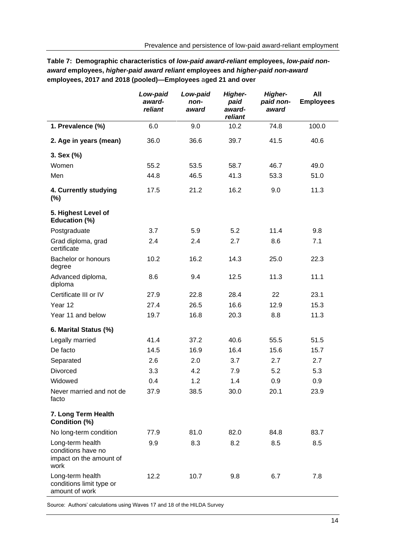|                                                                           | Low-paid<br>award-<br>reliant | Low-paid<br>non-<br>award | <b>Higher-</b><br>paid<br>award-<br>reliant | <b>Higher-</b><br>paid non-<br>award | All<br><b>Employees</b> |
|---------------------------------------------------------------------------|-------------------------------|---------------------------|---------------------------------------------|--------------------------------------|-------------------------|
| 1. Prevalence (%)                                                         | 6.0                           | 9.0                       | 10.2                                        | 74.8                                 | 100.0                   |
| 2. Age in years (mean)                                                    | 36.0                          | 36.6                      | 39.7                                        | 41.5                                 | 40.6                    |
| 3. Sex (%)                                                                |                               |                           |                                             |                                      |                         |
| Women                                                                     | 55.2                          | 53.5                      | 58.7                                        | 46.7                                 | 49.0                    |
| Men                                                                       | 44.8                          | 46.5                      | 41.3                                        | 53.3                                 | 51.0                    |
| 4. Currently studying<br>$(\%)$                                           | 17.5                          | 21.2                      | 16.2                                        | 9.0                                  | 11.3                    |
| 5. Highest Level of<br>Education (%)                                      |                               |                           |                                             |                                      |                         |
| Postgraduate                                                              | 3.7                           | 5.9                       | 5.2                                         | 11.4                                 | 9.8                     |
| Grad diploma, grad<br>certificate                                         | 2.4                           | 2.4                       | 2.7                                         | 8.6                                  | 7.1                     |
| Bachelor or honours<br>degree                                             | 10.2                          | 16.2                      | 14.3                                        | 25.0                                 | 22.3                    |
| Advanced diploma,<br>diploma                                              | 8.6                           | 9.4                       | 12.5                                        | 11.3                                 | 11.1                    |
| Certificate III or IV                                                     | 27.9                          | 22.8                      | 28.4                                        | 22                                   | 23.1                    |
| Year 12                                                                   | 27.4                          | 26.5                      | 16.6                                        | 12.9                                 | 15.3                    |
| Year 11 and below                                                         | 19.7                          | 16.8                      | 20.3                                        | 8.8                                  | 11.3                    |
| 6. Marital Status (%)                                                     |                               |                           |                                             |                                      |                         |
| Legally married                                                           | 41.4                          | 37.2                      | 40.6                                        | 55.5                                 | 51.5                    |
| De facto                                                                  | 14.5                          | 16.9                      | 16.4                                        | 15.6                                 | 15.7                    |
| Separated                                                                 | 2.6                           | 2.0                       | 3.7                                         | 2.7                                  | 2.7                     |
| <b>Divorced</b>                                                           | 3.3                           | 4.2                       | 7.9                                         | 5.2                                  | 5.3                     |
| Widowed                                                                   | 0.4                           | 1.2                       | 1.4                                         | 0.9                                  | 0.9                     |
| Never married and not de<br>facto                                         | 37.9                          | 38.5                      | 30.0                                        | 20.1                                 | 23.9                    |
| 7. Long Term Health<br>Condition (%)                                      |                               |                           |                                             |                                      |                         |
| No long-term condition                                                    | 77.9                          | 81.0                      | 82.0                                        | 84.8                                 | 83.7                    |
| Long-term health<br>conditions have no<br>impact on the amount of<br>work | 9.9                           | 8.3                       | 8.2                                         | 8.5                                  | 8.5                     |
| Long-term health<br>conditions limit type or<br>amount of work            | 12.2                          | 10.7                      | 9.8                                         | 6.7                                  | 7.8                     |

<span id="page-19-0"></span>**Table 7: Demographic characteristics of** *low-paid award-reliant* **employees,** *low-paid nonaward* **employees,** *higher-paid award reliant* **employees and** *higher-paid non-award* **employees, 2017 and 2018 (pooled)—Employees** a**ged 21 and over**

Source: Authors' calculations using Waves 17 and 18 of the HILDA Survey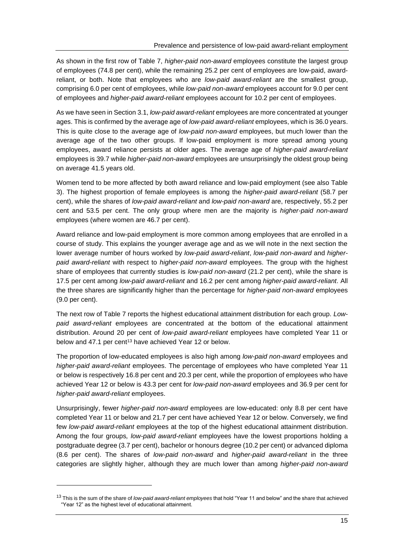As shown in the first row of Table 7, *higher-paid non-award* employees constitute the largest group of employees (74.8 per cent), while the remaining 25.2 per cent of employees are low-paid, awardreliant, or both. Note that employees who are *low-paid award-reliant* are the smallest group, comprising 6.0 per cent of employees, while *low-paid non-award* employees account for 9.0 per cent of employees and *higher-paid award-reliant* employees account for 10.2 per cent of employees.

As we have seen in Section 3.1, *low-paid award-reliant* employees are more concentrated at younger ages. This is confirmed by the average age of *low-paid award-reliant* employees, which is 36.0 years. This is quite close to the average age of *low-paid non-award* employees, but much lower than the average age of the two other groups. If low-paid employment is more spread among young employees, award reliance persists at older ages. The average age of *higher-paid award-reliant* employees is 39.7 while *higher-paid non-award* employees are unsurprisingly the oldest group being on average 41.5 years old.

Women tend to be more affected by both award reliance and low-paid employment (see also Table 3). The highest proportion of female employees is among the *higher-paid award-reliant* (58.7 per cent), while the shares of *low-paid award-reliant* and *low-paid non-award* are, respectively, 55.2 per cent and 53.5 per cent. The only group where men are the majority is *higher-paid non-award* employees (where women are 46.7 per cent).

Award reliance and low-paid employment is more common among employees that are enrolled in a course of study. This explains the younger average age and as we will note in the next section the lower average number of hours worked by *low-paid award-reliant*, *low-paid non-award* and *higherpaid award-reliant* with respect to *higher-paid non-award* employees. The group with the highest share of employees that currently studies is *low-paid non-award* (21.2 per cent), while the share is 17.5 per cent among *low-paid award-reliant* and 16.2 per cent among *higher-paid award-reliant*. All the three shares are significantly higher than the percentage for *higher-paid non-award* employees (9.0 per cent).

The next row of Table 7 reports the highest educational attainment distribution for each group. *Lowpaid award-reliant* employees are concentrated at the bottom of the educational attainment distribution. Around 20 per cent of *low-paid award-reliant* employees have completed Year 11 or below and 47.1 per cent<sup>13</sup> have achieved Year 12 or below.

The proportion of low-educated employees is also high among *low-paid non-award* employees and *higher-paid award-reliant* employees. The percentage of employees who have completed Year 11 or below is respectively 16.8 per cent and 20.3 per cent, while the proportion of employees who have achieved Year 12 or below is 43.3 per cent for *low-paid non-award* employees and 36.9 per cent for *higher-paid award-reliant* employees.

Unsurprisingly, fewer *higher-paid non-award* employees are low-educated: only 8.8 per cent have completed Year 11 or below and 21.7 per cent have achieved Year 12 or below. Conversely, we find few *low-paid award-reliant* employees at the top of the highest educational attainment distribution. Among the four groups*, low-paid award-reliant* employees have the lowest proportions holding a postgraduate degree (3.7 per cent), bachelor or honours degree (10.2 per cent) or advanced diploma (8.6 per cent). The shares of *low-paid non-award* and *higher-paid award-reliant* in the three categories are slightly higher, although they are much lower than among *higher-paid non-award*

<sup>13</sup> This is the sum of the share of *low-paid award-reliant employees* that hold "Year 11 and below" and the share that achieved "Year 12" as the highest level of educational attainment.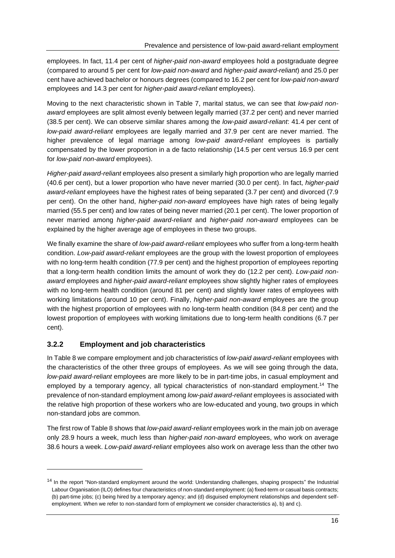employees. In fact, 11.4 per cent of *higher-paid non-award* employees hold a postgraduate degree (compared to around 5 per cent for *low-paid non-award* and *higher-paid award-reliant*) and 25.0 per cent have achieved bachelor or honours degrees (compared to 16.2 per cent for *low-paid non-award* employees and 14.3 per cent for *higher-paid award-reliant* employees).

Moving to the next characteristic shown in Table 7, marital status, we can see that *low-paid nonaward* employees are split almost evenly between legally married (37.2 per cent) and never married (38.5 per cent). We can observe similar shares among the *low-paid award-reliant*: 41.4 per cent of *low-paid award-reliant* employees are legally married and 37.9 per cent are never married. The higher prevalence of legal marriage among *low-paid award-reliant* employees is partially compensated by the lower proportion in a de facto relationship (14.5 per cent versus 16.9 per cent for *low-paid non-award* employees).

*Higher-paid award-reliant* employees also present a similarly high proportion who are legally married (40.6 per cent), but a lower proportion who have never married (30.0 per cent). In fact, *higher-paid award-reliant* employees have the highest rates of being separated (3.7 per cent) and divorced (7.9 per cent). On the other hand, *higher-paid non-award* employees have high rates of being legally married (55.5 per cent) and low rates of being never married (20.1 per cent). The lower proportion of never married among *higher-paid award-reliant* and *higher-paid non-award* employees can be explained by the higher average age of employees in these two groups.

We finally examine the share of *low-paid award-reliant* employees who suffer from a long-term health condition. *Low-paid award-reliant* employees are the group with the lowest proportion of employees with no long-term health condition (77.9 per cent) and the highest proportion of employees reporting that a long-term health condition limits the amount of work they do (12.2 per cent). *Low-paid nonaward* employees and *higher-paid award-reliant* employees show slightly higher rates of employees with no long-term health condition (around 81 per cent) and slightly lower rates of employees with working limitations (around 10 per cent). Finally, *higher-paid non-award* employees are the group with the highest proportion of employees with no long-term health condition (84.8 per cent) and the lowest proportion of employees with working limitations due to long-term health conditions (6.7 per cent).

### **3.2.2 Employment and job characteristics**

In Table 8 we compare employment and job characteristics of *low-paid award-reliant* employees with the characteristics of the other three groups of employees. As we will see going through the data, *low-paid award-reliant* employees are more likely to be in part-time jobs, in casual employment and employed by a temporary agency, all typical characteristics of non-standard employment.<sup>14</sup> The prevalence of non-standard employment among *low-paid award-reliant* employees is associated with the relative high proportion of these workers who are low-educated and young, two groups in which non-standard jobs are common.

The first row of Table 8 shows that *low-paid award-reliant* employees work in the main job on average only 28.9 hours a week, much less than *higher-paid non-award* employees, who work on average 38.6 hours a week. *Low-paid award-reliant* employees also work on average less than the other two

<sup>&</sup>lt;sup>14</sup> In the report "Non-standard employment around the world: Understanding challenges, shaping prospects" the Industrial Labour Organisation (ILO) defines four characteristics of non-standard employment: (a) fixed-term or casual basis contracts; (b) part-time jobs; (c) being hired by a temporary agency; and (d) disguised employment relationships and dependent selfemployment. When we refer to non-standard form of employment we consider characteristics a), b) and c).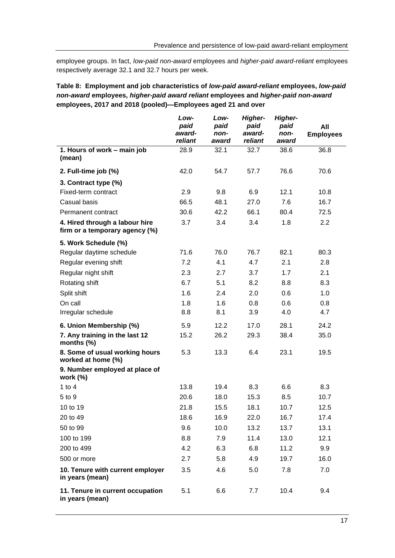employee groups. In fact, *low-paid non-award* employees and *higher-paid award-reliant* employees respectively average 32.1 and 32.7 hours per week.

#### <span id="page-22-0"></span>**Table 8: Employment and job characteristics of** *low-paid award-reliant* **employees,** *low-paid non-award* **employees,** *higher-paid award reliant* **employees and** *higher-paid non-award* **employees, 2017 and 2018 (pooled)—Employees aged 21 and over**

|                                                                  | Low-<br>paid<br>award-<br>reliant | Low-<br>paid<br>non-<br>award | Higher-<br>paid<br>award-<br>reliant | Higher-<br>paid<br>non-<br>award | All<br><b>Employees</b> |
|------------------------------------------------------------------|-----------------------------------|-------------------------------|--------------------------------------|----------------------------------|-------------------------|
| 1. Hours of work - main job<br>(mean)                            | 28.9                              | 32.1                          | 32.7                                 | 38.6                             | 36.8                    |
| 2. Full-time job (%)                                             | 42.0                              | 54.7                          | 57.7                                 | 76.6                             | 70.6                    |
| 3. Contract type (%)                                             |                                   |                               |                                      |                                  |                         |
| Fixed-term contract                                              | 2.9                               | 9.8                           | 6.9                                  | 12.1                             | 10.8                    |
| Casual basis                                                     | 66.5                              | 48.1                          | 27.0                                 | 7.6                              | 16.7                    |
| Permanent contract                                               | 30.6                              | 42.2                          | 66.1                                 | 80.4                             | 72.5                    |
| 4. Hired through a labour hire<br>firm or a temporary agency (%) | 3.7                               | 3.4                           | 3.4                                  | 1.8                              | $2.2\phantom{0}$        |
| 5. Work Schedule (%)                                             |                                   |                               |                                      |                                  |                         |
| Regular daytime schedule                                         | 71.6                              | 76.0                          | 76.7                                 | 82.1                             | 80.3                    |
| Regular evening shift                                            | 7.2                               | 4.1                           | 4.7                                  | 2.1                              | 2.8                     |
| Regular night shift                                              | 2.3                               | 2.7                           | 3.7                                  | 1.7                              | 2.1                     |
| Rotating shift                                                   | 6.7                               | 5.1                           | 8.2                                  | 8.8                              | 8.3                     |
| Split shift                                                      | 1.6                               | 2.4                           | 2.0                                  | 0.6                              | 1.0                     |
| On call                                                          | 1.8                               | 1.6                           | 0.8                                  | 0.6                              | 0.8                     |
| Irregular schedule                                               | 8.8                               | 8.1                           | 3.9                                  | 4.0                              | 4.7                     |
| 6. Union Membership (%)                                          | 5.9                               | 12.2                          | 17.0                                 | 28.1                             | 24.2                    |
| 7. Any training in the last 12<br>months $(\%)$                  | 15.2                              | 26.2                          | 29.3                                 | 38.4                             | 35.0                    |
| 8. Some of usual working hours<br>worked at home (%)             | 5.3                               | 13.3                          | 6.4                                  | 23.1                             | 19.5                    |
| 9. Number employed at place of<br>work $(%)$                     |                                   |                               |                                      |                                  |                         |
| 1 to $4$                                                         | 13.8                              | 19.4                          | 8.3                                  | 6.6                              | 8.3                     |
| 5 to 9                                                           | 20.6                              | 18.0                          | 15.3                                 | 8.5                              | 10.7                    |
| 10 to 19                                                         | 21.8                              | 15.5                          | 18.1                                 | 10.7                             | 12.5                    |
| 20 to 49                                                         | 18.6                              | 16.9                          | 22.0                                 | 16.7                             | 17.4                    |
| 50 to 99                                                         | 9.6                               | 10.0                          | 13.2                                 | 13.7                             | 13.1                    |
| 100 to 199                                                       | 8.8                               | 7.9                           | 11.4                                 | 13.0                             | 12.1                    |
| 200 to 499                                                       | 4.2                               | 6.3                           | 6.8                                  | 11.2                             | 9.9                     |
| 500 or more                                                      | 2.7                               | 5.8                           | 4.9                                  | 19.7                             | 16.0                    |
| 10. Tenure with current employer<br>in years (mean)              | 3.5                               | 4.6                           | 5.0                                  | 7.8                              | 7.0                     |
| 11. Tenure in current occupation<br>in years (mean)              | 5.1                               | 6.6                           | 7.7                                  | 10.4                             | 9.4                     |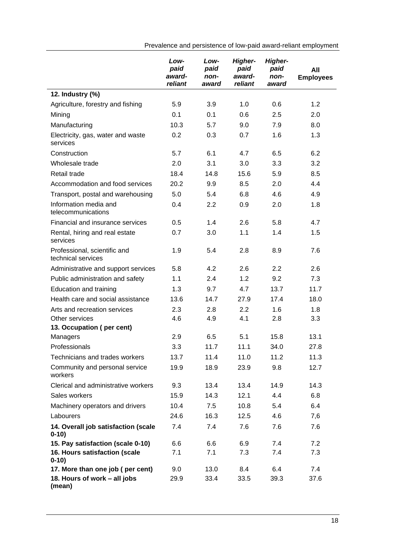*Lowpaid awardreliant Lowpaid nonaward Higherpaid awardreliant Higherpaid nonaward* **All Employees 12. Industry (%)** Agriculture, forestry and fishing  $5.9$   $3.9$   $1.0$   $0.6$   $1.2$ Mining 0.1 0.1 0.6 2.5 2.0 Manufacturing 10.3 5.7 9.0 7.9 8.0 Electricity, gas, water and waste services 0.2 0.3 0.7 1.6 1.3 Construction 5.7 6.1 4.7 6.5 6.2 Wholesale trade 2.0 3.1 3.0 3.3 3.2 Retail trade 18.4 14.8 15.6 5.9 8.5 Accommodation and food services 20.2 9.9 8.5 2.0 4.4 Transport, postal and warehousing 5.0 5.4 6.8 4.6 4.9 Information media and telecommunications 0.4 2.2 0.9 2.0 1.8 Financial and insurance services 0.5 1.4 2.6 5.8 4.7 Rental, hiring and real estate services 0.7 3.0 1.1 1.4 1.5 Professional, scientific and technical services 1.9 5.4 2.8 8.9 7.6 Administrative and support services  $5.8$  4.2 2.6 2.2 2.6 Public administration and safety  $1.1$   $2.4$   $1.2$   $9.2$   $7.3$ Education and training 1.3 9.7 4.7 13.7 11.7 Health care and social assistance  $13.6$  14.7 27.9 17.4 18.0 Arts and recreation services 2.3 2.8 2.2 1.6 1.8 Other services **4.6** 4.9 4.1 2.8 3.3 **13. Occupation ( per cent)** Managers 2.9 6.5 5.1 15.8 13.1 Professionals 3.3 11.7 11.1 34.0 27.8 Technicians and trades workers  $13.7$  11.4 11.0 11.2 11.3 Community and personal service workers 19.9 18.9 23.9 9.8 12.7 Clerical and administrative workers  $\frac{9.3}{13.4}$  13.4 14.9 14.3 Sales workers **15.9** 14.3 12.1 4.4 6.8 Machinery operators and drivers  $10.4$  7.5  $10.8$  5.4 6.4 Labourers 24.6 16.3 12.5 4.6 7,6 **14. Overall job satisfaction (scale 0-10)** 7.4 7.4 7.6 7.6 7.6 **15. Pay satisfaction (scale 0-10)** 6.6 6.6 6.9 7.4 7.2 **16. Hours satisfaction (scale 0-10)** 7.1 7.1 7.3 7.4 7.3 **17. More than one job ( per cent)** 9.0 13.0 8.4 6.4 7.4 **18. Hours of work – all jobs (mean)** 29.9 33.4 33.5 39.3 37.6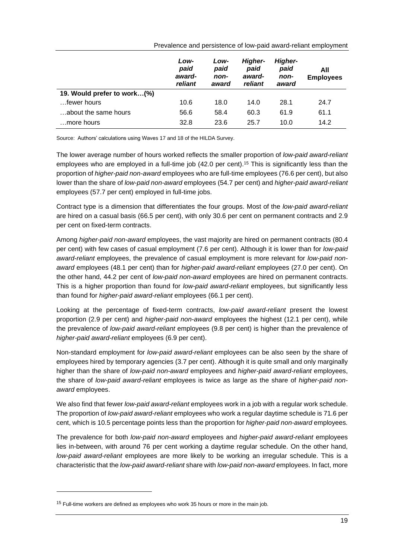|                             | Low-<br>paid<br>award-<br>reliant | Low-<br>paid<br>non-<br>award | <b>Higher-</b><br>paid<br>award-<br>reliant | <b>Higher-</b><br>paid<br>non-<br>award | All<br><b>Employees</b> |
|-----------------------------|-----------------------------------|-------------------------------|---------------------------------------------|-----------------------------------------|-------------------------|
| 19. Would prefer to work(%) |                                   |                               |                                             |                                         |                         |
| fewer hours                 | 10.6                              | 18.0                          | 14.0                                        | 28.1                                    | 24.7                    |
| about the same hours        | 56.6                              | 58.4                          | 60.3                                        | 61.9                                    | 61.1                    |
| more hours                  | 32.8                              | 23.6                          | 25.7                                        | 10.0                                    | 14.2                    |

Prevalence and persistence of low-paid award-reliant employment

Source: Authors' calculations using Waves 17 and 18 of the HILDA Survey.

The lower average number of hours worked reflects the smaller proportion of *low-paid award-reliant* employees who are employed in a full-time job (42.0 per cent).<sup>15</sup> This is significantly less than the proportion of *higher-paid non-award* employees who are full-time employees (76.6 per cent), but also lower than the share of *low-paid non-award* employees (54.7 per cent) and *higher-paid award-reliant* employees (57.7 per cent) employed in full-time jobs.

Contract type is a dimension that differentiates the four groups. Most of the *low-paid award-reliant* are hired on a casual basis (66.5 per cent), with only 30.6 per cent on permanent contracts and 2.9 per cent on fixed-term contracts.

Among *higher-paid non-award* employees, the vast majority are hired on permanent contracts (80.4 per cent) with few cases of casual employment (7.6 per cent). Although it is lower than for *low-paid award-reliant* employees, the prevalence of casual employment is more relevant for *low-paid nonaward* employees (48.1 per cent) than for *higher-paid award-reliant* employees (27.0 per cent). On the other hand, 44.2 per cent of *low-paid non-award* employees are hired on permanent contracts. This is a higher proportion than found for *low-paid award-reliant* employees, but significantly less than found for *higher-paid award-reliant* employees (66.1 per cent).

Looking at the percentage of fixed-term contracts, *low-paid award-reliant* present the lowest proportion (2.9 per cent) and *higher-paid non-award* employees the highest (12.1 per cent), while the prevalence of *low-paid award-reliant* employees (9.8 per cent) is higher than the prevalence of *higher-paid award-reliant* employees (6.9 per cent).

Non-standard employment for *low-paid award-reliant* employees can be also seen by the share of employees hired by temporary agencies (3.7 per cent). Although it is quite small and only marginally higher than the share of *low-paid non-award* employees and *higher-paid award-reliant* employees, the share of *low-paid award-reliant* employees is twice as large as the share of *higher-paid nonaward* employees.

We also find that fewer *low-paid award-reliant* employees work in a job with a regular work schedule. The proportion of *low-paid award-reliant* employees who work a regular daytime schedule is 71.6 per cent, which is 10.5 percentage points less than the proportion for *higher-paid non-award* employees*.*

The prevalence for both *low-paid non-award* employees and *higher-paid award-reliant* employees lies in-between, with around 76 per cent working a daytime regular schedule. On the other hand, *low-paid award-reliant* employees are more likely to be working an irregular schedule. This is a characteristic that the *low-paid award-reliant* share with *low-paid non-award* employees. In fact, more

 $15$  Full-time workers are defined as employees who work 35 hours or more in the main job.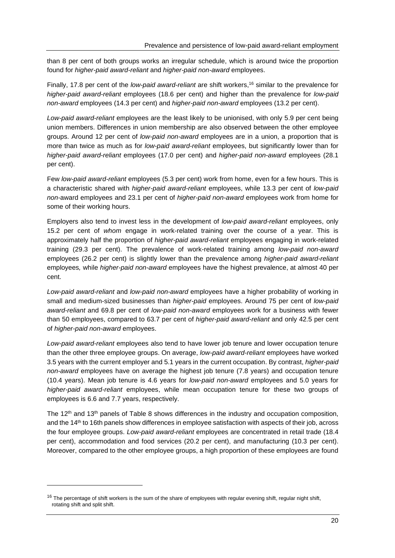than 8 per cent of both groups works an irregular schedule, which is around twice the proportion found for *higher-paid award-reliant* and *higher-paid non-award* employees.

Finally, 17.8 per cent of the *low-paid award-reliant* are shift workers, <sup>16</sup> similar to the prevalence for *higher-paid award-reliant* employees (18.6 per cent) and higher than the prevalence for *low-paid non-award* employees (14.3 per cent) and *higher-paid non-award* employees (13.2 per cent).

*Low-paid award-reliant* employees are the least likely to be unionised, with only 5.9 per cent being union members. Differences in union membership are also observed between the other employee groups. Around 12 per cent of *low-paid non-award* employees are in a union, a proportion that is more than twice as much as for *low-paid award-reliant* employees, but significantly lower than for *higher-paid award-reliant* employees (17.0 per cent) and *higher-paid non-award* employees (28.1 per cent).

Few *low-paid award-reliant* employees (5.3 per cent) work from home, even for a few hours. This is a characteristic shared with *higher-paid award-reliant* employees, while 13.3 per cent of *low-paid non-*award employees and 23.1 per cent of *higher-paid non-award* employees work from home for some of their working hours.

Employers also tend to invest less in the development of *low-paid award-reliant* employees, only 15.2 per cent of *whom* engage in work-related training over the course of a year. This is approximately half the proportion of *higher-paid award-reliant* employees engaging in work-related training (29.3 per cent). The prevalence of work-related training among *low-paid non-award* employees (26.2 per cent) is slightly lower than the prevalence among *higher-paid award-reliant* employees*,* while *higher-paid non-award* employees have the highest prevalence, at almost 40 per cent.

*Low-paid award-reliant* and *low-paid non-award* employees have a higher probability of working in small and medium-sized businesses than *higher-paid* employees. Around 75 per cent of *low-paid award-reliant* and 69.8 per cent of *low-paid non-award* employees work for a business with fewer than 50 employees, compared to 63.7 per cent of *higher-paid award-reliant* and only 42.5 per cent of *higher-paid non-award* employees.

*Low-paid award-reliant* employees also tend to have lower job tenure and lower occupation tenure than the other three employee groups. On average, *low-paid award-reliant* employees have worked 3.5 years with the current employer and 5.1 years in the current occupation. By contrast, *higher-paid non-award* employees have on average the highest job tenure (7.8 years) and occupation tenure (10.4 years). Mean job tenure is 4.6 years for *low-paid non-award* employees and 5.0 years for *higher-paid award-reliant* employees, while mean occupation tenure for these two groups of employees is 6.6 and 7.7 years, respectively.

The  $12<sup>th</sup>$  and  $13<sup>th</sup>$  panels of Table 8 shows differences in the industry and occupation composition, and the 14<sup>th</sup> to 16th panels show differences in employee satisfaction with aspects of their job, across the four employee groups. *Low-paid award-reliant* employees are concentrated in retail trade (18.4 per cent), accommodation and food services (20.2 per cent), and manufacturing (10.3 per cent). Moreover, compared to the other employee groups, a high proportion of these employees are found

<sup>&</sup>lt;sup>16</sup> The percentage of shift workers is the sum of the share of employees with regular evening shift, regular night shift, rotating shift and split shift.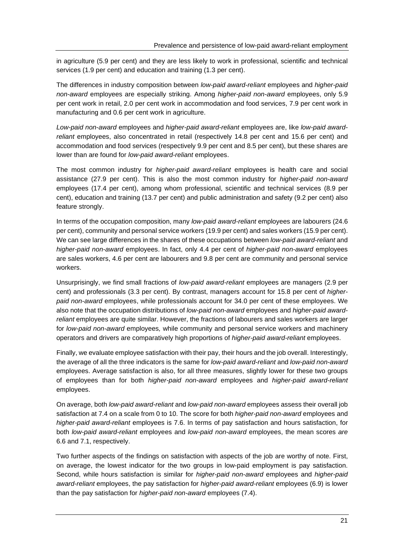in agriculture (5.9 per cent) and they are less likely to work in professional, scientific and technical services (1.9 per cent) and education and training (1.3 per cent).

The differences in industry composition between *low-paid award-reliant* employees and *higher-paid non-award* employees are especially striking. Among *higher-paid non-award* employees, only 5.9 per cent work in retail, 2.0 per cent work in accommodation and food services, 7.9 per cent work in manufacturing and 0.6 per cent work in agriculture.

*Low-paid non-award* employees and *higher-paid award-reliant* employees are, like *low-paid awardreliant* employees, also concentrated in retail (respectively 14.8 per cent and 15.6 per cent) and accommodation and food services (respectively 9.9 per cent and 8.5 per cent), but these shares are lower than are found for *low-paid award-reliant* employees.

The most common industry for *higher-paid award-reliant* employees is health care and social assistance (27.9 per cent). This is also the most common industry for *higher-paid non-award* employees (17.4 per cent), among whom professional, scientific and technical services (8.9 per cent), education and training (13.7 per cent) and public administration and safety (9.2 per cent) also feature strongly.

In terms of the occupation composition, many *low-paid award-reliant* employees are labourers (24.6 per cent), community and personal service workers (19.9 per cent) and sales workers (15.9 per cent). We can see large differences in the shares of these occupations between *low-paid award-reliant* and *higher-paid non-award* employees. In fact, only 4.4 per cent of *higher-paid non-award* employees are sales workers, 4.6 per cent are labourers and 9.8 per cent are community and personal service workers.

Unsurprisingly, we find small fractions of *low-paid award-reliant* employees are managers (2.9 per cent) and professionals (3.3 per cent). By contrast, managers account for 15.8 per cent of *higherpaid non-award* employees, while professionals account for 34.0 per cent of these employees. We also note that the occupation distributions of *low-paid non-award* employees and *higher-paid awardreliant* employees are quite similar. However, the fractions of labourers and sales workers are larger for *low-paid non-award* employees*,* while community and personal service workers and machinery operators and drivers are comparatively high proportions of *higher-paid award-reliant* employees.

Finally, we evaluate employee satisfaction with their pay, their hours and the job overall. Interestingly, the average of all the three indicators is the same for *low-paid award-reliant* and *low-paid non-award* employees. Average satisfaction is also, for all three measures, slightly lower for these two groups of employees than for both *higher-paid non-award* employees and *higher-paid award-reliant* employees.

On average, both *low-paid award-reliant* and *low-paid non-award* employees assess their overall job satisfaction at 7.4 on a scale from 0 to 10. The score for both *higher-paid non-award* employees and *higher-paid award-reliant* employees is 7.6. In terms of pay satisfaction and hours satisfaction, for both *low-paid award-reliant* employees and *low-paid non-award* employees, the mean scores *are* 6.6 and 7.1, respectively.

Two further aspects of the findings on satisfaction with aspects of the job are worthy of note. First, on average, the lowest indicator for the two groups in low-paid employment is pay satisfaction. Second, while hours satisfaction is similar for *higher-paid non-award* employees and *higher-paid award-reliant* employees, the pay satisfaction for *higher-paid award-reliant* employees (6.9) is lower than the pay satisfaction for *higher-paid non-award* employees (7.4).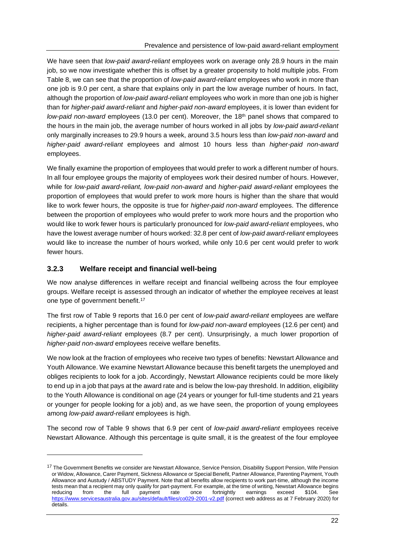We have seen that *low-paid award-reliant* employees work on average only 28.9 hours in the main job, so we now investigate whether this is offset by a greater propensity to hold multiple jobs. From Table 8, we can see that the proportion of *low-paid award-reliant* employees who work in more than one job is 9.0 per cent, a share that explains only in part the low average number of hours. In fact, although the proportion of *low-paid award-reliant* employees who work in more than one job is higher than for *higher-paid award-reliant* and *higher-paid non-award* employees, it is lower than evident for *low-paid non-award* employees (13.0 per cent). Moreover, the 18th panel shows that compared to the hours in the main job, the average number of hours worked in all jobs by *low-paid award-reliant* only marginally increases to 29.9 hours a week, around 3.5 hours less than *low-paid non-award* and *higher-paid award-reliant* employees and almost 10 hours less than *higher-paid non-award*  employees.

We finally examine the proportion of employees that would prefer to work a different number of hours. In all four employee groups the majority of employees work their desired number of hours. However, while for *low-paid award-reliant, low-paid non-award* and *higher-paid award-reliant* employees the proportion of employees that would prefer to work more hours is higher than the share that would like to work fewer hours, the opposite is true for *higher-paid non-award* employees. The difference between the proportion of employees who would prefer to work more hours and the proportion who would like to work fewer hours is particularly pronounced for *low-paid award-reliant* employees, who have the lowest average number of hours worked: 32.8 per cent of *low-paid award-reliant* employees would like to increase the number of hours worked, while only 10.6 per cent would prefer to work fewer hours.

#### **3.2.3 Welfare receipt and financial well-being**

We now analyse differences in welfare receipt and financial wellbeing across the four employee groups. Welfare receipt is assessed through an indicator of whether the employee receives at least one type of government benefit.<sup>17</sup>

The first row of Table 9 reports that 16.0 per cent of *low-paid award-reliant* employees are welfare recipients, a higher percentage than is found for *low-paid non-award* employees (12.6 per cent) and *higher-paid award-reliant* employees (8.7 per cent). Unsurprisingly, a much lower proportion of *higher-paid non-award* employees receive welfare benefits.

We now look at the fraction of employees who receive two types of benefits: Newstart Allowance and Youth Allowance. We examine Newstart Allowance because this benefit targets the unemployed and obliges recipients to look for a job. Accordingly, Newstart Allowance recipients could be more likely to end up in a job that pays at the award rate and is below the low-pay threshold. In addition, eligibility to the Youth Allowance is conditional on age (24 years or younger for full-time students and 21 years or younger for people looking for a job) and, as we have seen, the proportion of young employees among *low-paid award-reliant* employees is high.

The second row of Table 9 shows that 6.9 per cent of *low-paid award-reliant* employees receive Newstart Allowance. Although this percentage is quite small, it is the greatest of the four employee

<sup>&</sup>lt;sup>17</sup> The Government Benefits we consider are Newstart Allowance, Service Pension, Disability Support Pension, Wife Pension or Widow, Allowance, Carer Payment, Sickness Allowance or Special Benefit, Partner Allowance, Parenting Payment, Youth Allowance and Austudy / ABSTUDY Payment. Note that all benefits allow recipients to work part-time, although the income tests mean that a recipient may only qualify for part-payment. For example, at the time of writing, Newstart Allowance begins reducing from the full payment rate once fortnightly earnings exceed \$104. See <https://www.servicesaustralia.gov.au/sites/default/files/co029-2001-v2.pdf> (correct web address as at 7 February 2020) for details.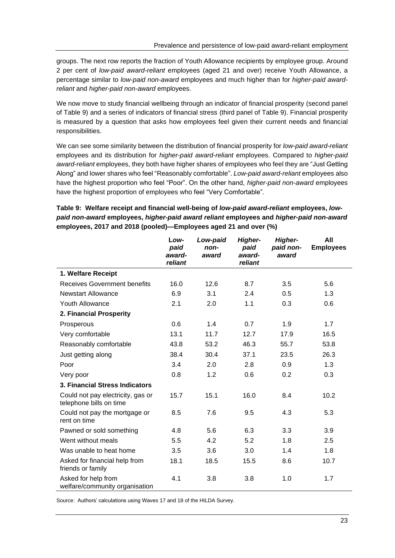groups. The next row reports the fraction of Youth Allowance recipients by employee group. Around 2 per cent of *low-paid award-reliant* employees (aged 21 and over) receive Youth Allowance, a percentage similar to *low-paid non-award* employees and much higher than for *higher-paid awardreliant* and *higher-paid non-award* employees.

We now move to study financial wellbeing through an indicator of financial prosperity (second panel of Table 9) and a series of indicators of financial stress (third panel of Table 9). Financial prosperity is measured by a question that asks how employees feel given their current needs and financial responsibilities.

We can see some similarity between the distribution of financial prosperity for *low-paid award-reliant* employees and its distribution for *higher-paid award-reliant* employees. Compared to *higher-paid award-reliant* employees, they both have higher shares of employees who feel they are "Just Getting Along" and lower shares who feel "Reasonably comfortable". *Low-paid award-reliant* employees also have the highest proportion who feel "Poor". On the other hand, *higher-paid non-award* employees have the highest proportion of employees who feel "Very Comfortable".

#### <span id="page-28-0"></span>**Table 9: Welfare receipt and financial well-being of** *low-paid award-reliant* **employees,** *lowpaid non-award* **employees,** *higher-paid award reliant* **employees and** *higher-paid non-award* **employees, 2017 and 2018 (pooled)—Employees aged 21 and over (%)**

|                                                              | Low-<br>paid<br>award-<br>reliant | Low-paid<br>non-<br>award | <b>Higher-</b><br>paid<br>award-<br>reliant | Higher-<br>paid non-<br>award | All<br><b>Employees</b> |
|--------------------------------------------------------------|-----------------------------------|---------------------------|---------------------------------------------|-------------------------------|-------------------------|
| 1. Welfare Receipt                                           |                                   |                           |                                             |                               |                         |
| <b>Receives Government benefits</b>                          | 16.0                              | 12.6                      | 8.7                                         | 3.5                           | 5.6                     |
| <b>Newstart Allowance</b>                                    | 6.9                               | 3.1                       | 2.4                                         | 0.5                           | 1.3                     |
| <b>Youth Allowance</b>                                       | 2.1                               | 2.0                       | 1.1                                         | 0.3                           | 0.6                     |
| 2. Financial Prosperity                                      |                                   |                           |                                             |                               |                         |
| Prosperous                                                   | 0.6                               | 1.4                       | 0.7                                         | 1.9                           | 1.7                     |
| Very comfortable                                             | 13.1                              | 11.7                      | 12.7                                        | 17.9                          | 16.5                    |
| Reasonably comfortable                                       | 43.8                              | 53.2                      | 46.3                                        | 55.7                          | 53.8                    |
| Just getting along                                           | 38.4                              | 30.4                      | 37.1                                        | 23.5                          | 26.3                    |
| Poor                                                         | 3.4                               | 2.0                       | 2.8                                         | 0.9                           | 1.3                     |
| Very poor                                                    | 0.8                               | 1.2                       | 0.6                                         | 0.2                           | 0.3                     |
| 3. Financial Stress Indicators                               |                                   |                           |                                             |                               |                         |
| Could not pay electricity, gas or<br>telephone bills on time | 15.7                              | 15.1                      | 16.0                                        | 8.4                           | 10.2                    |
| Could not pay the mortgage or<br>rent on time                | 8.5                               | 7.6                       | 9.5                                         | 4.3                           | 5.3                     |
| Pawned or sold something                                     | 4.8                               | 5.6                       | 6.3                                         | 3.3                           | 3.9                     |
| Went without meals                                           | 5.5                               | 4.2                       | 5.2                                         | 1.8                           | $2.5\,$                 |
| Was unable to heat home                                      | 3.5                               | 3.6                       | 3.0                                         | 1.4                           | 1.8                     |
| Asked for financial help from<br>friends or family           | 18.1                              | 18.5                      | 15.5                                        | 8.6                           | 10.7                    |
| Asked for help from<br>welfare/community organisation        | 4.1                               | 3.8                       | 3.8                                         | 1.0                           | 1.7                     |

Source: Authors' calculations using Waves 17 and 18 of the HILDA Survey.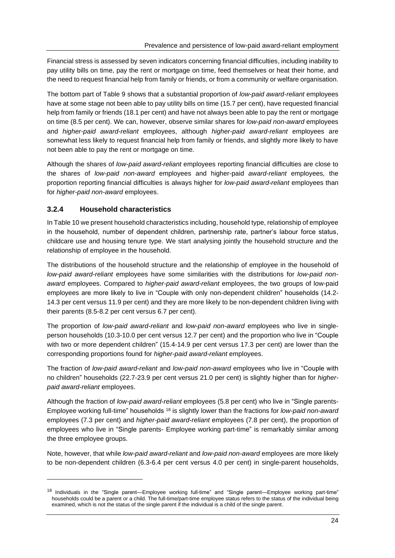Financial stress is assessed by seven indicators concerning financial difficulties, including inability to pay utility bills on time, pay the rent or mortgage on time, feed themselves or heat their home, and the need to request financial help from family or friends, or from a community or welfare organisation.

The bottom part of Table 9 shows that a substantial proportion of *low-paid award-reliant* employees have at some stage not been able to pay utility bills on time (15.7 per cent), have requested financial help from family or friends (18.1 per cent) and have not always been able to pay the rent or mortgage on time (8.5 per cent). We can, however, observe similar shares for *low-paid non-award* employees and *higher-paid award-reliant* employees, although *higher-paid award-reliant* employees are somewhat less likely to request financial help from family or friends, and slightly more likely to have not been able to pay the rent or mortgage on time*.*

Although the shares of *low-paid award-reliant* employees reporting financial difficulties are close to the shares of *low-paid non-award* employees and higher-paid *award-reliant* employees*,* the proportion reporting financial difficulties is always higher for *low-paid award-reliant* employees than for *higher-paid non-award* employees.

#### **3.2.4 Household characteristics**

In Table 10 we present household characteristics including, household type, relationship of employee in the household, number of dependent children, partnership rate, partner's labour force status, childcare use and housing tenure type. We start analysing jointly the household structure and the relationship of employee in the household.

The distributions of the household structure and the relationship of employee in the household of *low-paid award-reliant* employees have some similarities with the distributions for *low-paid nonaward* employees. Compared to *higher-paid award-reliant* employees, the two groups of low-paid employees are more likely to live in "Couple with only non-dependent children" households (14.2- 14.3 per cent versus 11.9 per cent) and they are more likely to be non-dependent children living with their parents (8.5-8.2 per cent versus 6.7 per cent).

The proportion of *low-paid award-reliant* and *low-paid non-award* employees who live in singleperson households (10.3-10.0 per cent versus 12.7 per cent) and the proportion who live in "Couple with two or more dependent children" (15.4-14.9 per cent versus 17.3 per cent) are lower than the corresponding proportions found for *higher-paid award-reliant* employees.

The fraction of *low-paid award-reliant* and *low-paid non-award* employees who live in "Couple with no children" households (22.7-23.9 per cent versus 21.0 per cent) is slightly higher than for *higherpaid award-reliant* employees.

Although the fraction of *low-paid award-reliant* employees (5.8 per cent) who live in "Single parents-Employee working full-time" households <sup>18</sup> is slightly lower than the fractions for *low-paid non-award* employees (7.3 per cent) and *higher-paid award-reliant* employees (7.8 per cent), the proportion of employees who live in "Single parents- Employee working part-time" is remarkably similar among the three employee groups.

Note, however, that while *low-paid award-reliant* and *low-paid non-award* employees are more likely to be non-dependent children (6.3-6.4 per cent versus 4.0 per cent) in single-parent households,

<sup>&</sup>lt;sup>18</sup> Individuals in the "Single parent—Employee working full-time" and "Single parent—Employee working part-time" households could be a parent or a child. The full-time/part-time employee status refers to the status of the individual being examined, which is not the status of the single parent if the individual is a child of the single parent.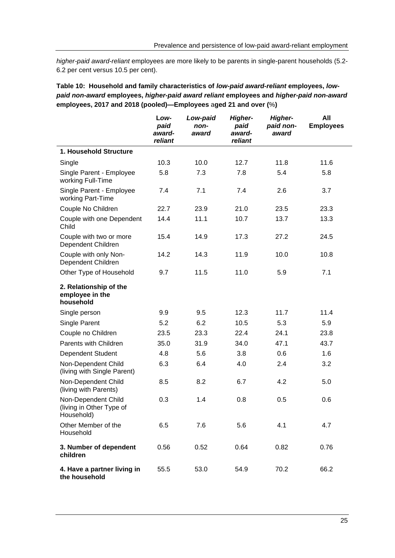*higher-paid award-reliant* employees are more likely to be parents in single-parent households (5.2- 6.2 per cent versus 10.5 per cent).

<span id="page-30-0"></span>**Table 10: Household and family characteristics of** *low-paid award-reliant* **employees,** *lowpaid non-award* **employees,** *higher-paid award reliant* **employees and** *higher-paid non-award* **employees, 2017 and 2018 (pooled)—Employees** a**ged 21 and over (**%**)**

|                                                               | Low-<br>paid<br>award-<br>reliant | Low-paid<br>non-<br>award | Higher-<br>paid<br>award-<br>reliant | Higher-<br>paid non-<br>award | All<br><b>Employees</b> |
|---------------------------------------------------------------|-----------------------------------|---------------------------|--------------------------------------|-------------------------------|-------------------------|
| 1. Household Structure                                        |                                   |                           |                                      |                               |                         |
| Single                                                        | 10.3                              | 10.0                      | 12.7                                 | 11.8                          | 11.6                    |
| Single Parent - Employee<br>working Full-Time                 | 5.8                               | 7.3                       | 7.8                                  | 5.4                           | 5.8                     |
| Single Parent - Employee<br>working Part-Time                 | 7.4                               | 7.1                       | 7.4                                  | 2.6                           | 3.7                     |
| Couple No Children                                            | 22.7                              | 23.9                      | 21.0                                 | 23.5                          | 23.3                    |
| Couple with one Dependent<br>Child                            | 14.4                              | 11.1                      | 10.7                                 | 13.7                          | 13.3                    |
| Couple with two or more<br>Dependent Children                 | 15.4                              | 14.9                      | 17.3                                 | 27.2                          | 24.5                    |
| Couple with only Non-<br>Dependent Children                   | 14.2                              | 14.3                      | 11.9                                 | 10.0                          | 10.8                    |
| Other Type of Household                                       | 9.7                               | 11.5                      | 11.0                                 | 5.9                           | 7.1                     |
| 2. Relationship of the<br>employee in the<br>household        |                                   |                           |                                      |                               |                         |
| Single person                                                 | 9.9                               | 9.5                       | 12.3                                 | 11.7                          | 11.4                    |
| Single Parent                                                 | 5.2                               | 6.2                       | 10.5                                 | 5.3                           | 5.9                     |
| Couple no Children                                            | 23.5                              | 23.3                      | 22.4                                 | 24.1                          | 23.8                    |
| Parents with Children                                         | 35.0                              | 31.9                      | 34.0                                 | 47.1                          | 43.7                    |
| <b>Dependent Student</b>                                      | 4.8                               | 5.6                       | 3.8                                  | 0.6                           | 1.6                     |
| Non-Dependent Child<br>(living with Single Parent)            | 6.3                               | 6.4                       | 4.0                                  | 2.4                           | 3.2                     |
| Non-Dependent Child<br>(living with Parents)                  | 8.5                               | 8.2                       | 6.7                                  | 4.2                           | 5.0                     |
| Non-Dependent Child<br>(living in Other Type of<br>Household) | 0.3                               | 1.4                       | 0.8                                  | 0.5                           | 0.6                     |
| Other Member of the<br>Household                              | 6.5                               | 7.6                       | 5.6                                  | 4.1                           | 4.7                     |
| 3. Number of dependent<br>children                            | 0.56                              | 0.52                      | 0.64                                 | 0.82                          | 0.76                    |
| 4. Have a partner living in<br>the household                  | 55.5                              | 53.0                      | 54.9                                 | 70.2                          | 66.2                    |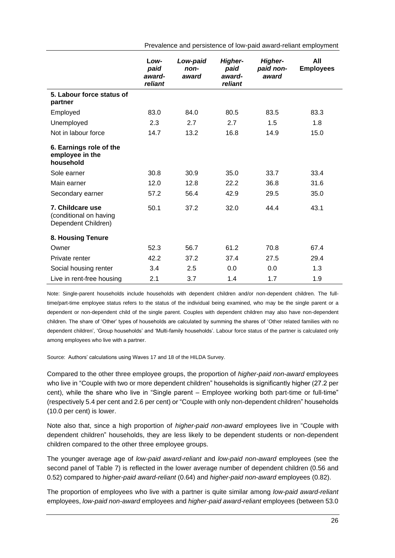|                                                                   | Low-<br>paid<br>award-<br>reliant | Low-paid<br>non-<br>award | <b>Higher-</b><br>paid<br>award-<br>reliant | <b>Higher-</b><br>paid non-<br>award | All<br><b>Employees</b> |
|-------------------------------------------------------------------|-----------------------------------|---------------------------|---------------------------------------------|--------------------------------------|-------------------------|
| 5. Labour force status of<br>partner                              |                                   |                           |                                             |                                      |                         |
| Employed                                                          | 83.0                              | 84.0                      | 80.5                                        | 83.5                                 | 83.3                    |
| Unemployed                                                        | 2.3                               | 2.7                       | 2.7                                         | 1.5                                  | 1.8                     |
| Not in labour force                                               | 14.7                              | 13.2                      | 16.8                                        | 14.9                                 | 15.0                    |
| 6. Earnings role of the<br>employee in the<br>household           |                                   |                           |                                             |                                      |                         |
| Sole earner                                                       | 30.8                              | 30.9                      | 35.0                                        | 33.7                                 | 33.4                    |
| Main earner                                                       | 12.0                              | 12.8                      | 22.2                                        | 36.8                                 | 31.6                    |
| Secondary earner                                                  | 57.2                              | 56.4                      | 42.9                                        | 29.5                                 | 35.0                    |
| 7. Childcare use<br>(conditional on having<br>Dependent Children) | 50.1                              | 37.2                      | 32.0                                        | 44.4                                 | 43.1                    |
| 8. Housing Tenure                                                 |                                   |                           |                                             |                                      |                         |
| Owner                                                             | 52.3                              | 56.7                      | 61.2                                        | 70.8                                 | 67.4                    |
| Private renter                                                    | 42.2                              | 37.2                      | 37.4                                        | 27.5                                 | 29.4                    |
| Social housing renter                                             | 3.4                               | 2.5                       | 0.0                                         | 0.0                                  | 1.3                     |
| Live in rent-free housing                                         | 2.1                               | 3.7                       | 1.4                                         | 1.7                                  | 1.9                     |

Prevalence and persistence of low-paid award-reliant employment

Note: Single-parent households include households with dependent children and/or non-dependent children. The fulltime/part-time employee status refers to the status of the individual being examined, who may be the single parent or a dependent or non-dependent child of the single parent. Couples with dependent children may also have non-dependent children. The share of 'Other' types of households are calculated by summing the shares of 'Other related families with no dependent children', 'Group households' and 'Multi-family households'. Labour force status of the partner is calculated only among employees who live with a partner.

Source: Authors' calculations using Waves 17 and 18 of the HILDA Survey.

Compared to the other three employee groups, the proportion of *higher-paid non-award* employees who live in "Couple with two or more dependent children" households is significantly higher (27.2 per cent), while the share who live in "Single parent – Employee working both part-time or full-time" (respectively 5.4 per cent and 2.6 per cent) or "Couple with only non-dependent children" households (10.0 per cent) is lower.

Note also that, since a high proportion of *higher-paid non-award* employees live in "Couple with dependent children" households, they are less likely to be dependent students or non-dependent children compared to the other three employee groups.

The younger average age of *low-paid award-reliant* and *low-paid non-award* employees (see the second panel of Table 7) is reflected in the lower average number of dependent children (0.56 and 0.52) compared to *higher-paid award-reliant* (0.64) and *higher-paid non-award* employees (0.82).

The proportion of employees who live with a partner is quite similar among *low-paid award-reliant*  employees, *low-paid non-award* employees and *higher-paid award-reliant* employees (between 53.0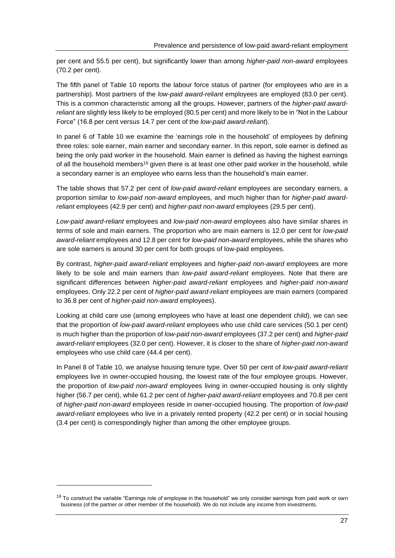per cent and 55.5 per cent), but significantly lower than among *higher-paid non-award* employees (70.2 per cent).

The fifth panel of Table 10 reports the labour force status of partner (for employees who are in a partnership). Most partners of the *low-paid award-reliant* employees are employed (83.0 per cent). This is a common characteristic among all the groups. However, partners of the *higher-paid awardreliant* are slightly less likely to be employed (80.5 per cent) and more likely to be in "Not in the Labour Force" (16.8 per cent versus 14.7 per cent of the *low-paid award-reliant*).

In panel 6 of Table 10 we examine the 'earnings role in the household' of employees by defining three roles: sole earner, main earner and secondary earner. In this report, sole earner is defined as being the only paid worker in the household. Main earner is defined as having the highest earnings of all the household members<sup>19</sup> given there is at least one other paid worker in the household, while a secondary earner is an employee who earns less than the household's main earner.

The table shows that 57.2 per cent of *low-paid award-reliant* employees are secondary earners, a proportion similar to *low-paid non-award* employees*,* and much higher than for *higher-paid awardreliant* employees (42.9 per cent) and *higher-paid non-award* employees (29.5 per cent).

*Low-paid award-reliant* employees and *low-paid non-award* employees also have similar shares in terms of sole and main earners. The proportion who are main earners is 12.0 per cent for *low-paid award-reliant* employees and 12.8 per cent for *low-paid non-award* employees, while the shares who are sole earners is around 30 per cent for both groups of low-paid employees.

By contrast, *higher-paid award-reliant* employees and *higher-paid non-award* employees are more likely to be sole and main earners than *low-paid award-reliant* employees. Note that there are significant differences between *higher-paid award-reliant* employees and *higher-paid non-award* employees. Only 22.2 per cent of *higher-paid award-reliant* employees are main earners (compared to 36.8 per cent of *higher-paid non-award* employees).

Looking at child care use (among employees who have at least one dependent child), we can see that the proportion of *low-paid award-reliant* employees who use child care services (50.1 per cent) is much higher than the proportion of *low-paid non-award* employees (37.2 per cent) and *higher-paid award-reliant* employees (32.0 per cent). However, it is closer to the share of *higher-paid non-award* employees who use child care (44.4 per cent).

In Panel 8 of Table 10, we analyse housing tenure type. Over 50 per cent of *low-paid award-reliant*  employees live in owner-occupied housing, the lowest rate of the four employee groups. However, the proportion of *low-paid non-award* employees living in owner-occupied housing is only slightly higher (56.7 per cent), while 61.2 per cent of *higher-paid award-reliant* employees and 70.8 per cent of *higher-paid non-award* employees reside in owner-occupied housing. The proportion of *low-paid award-reliant* employees who live in a privately rented property (42.2 per cent) or in social housing (3.4 per cent) is correspondingly higher than among the other employee groups.

<sup>&</sup>lt;sup>19</sup> To construct the variable "Earnings role of employee in the household" we only consider earnings from paid work or own business (of the partner or other member of the household). We do not include any income from investments.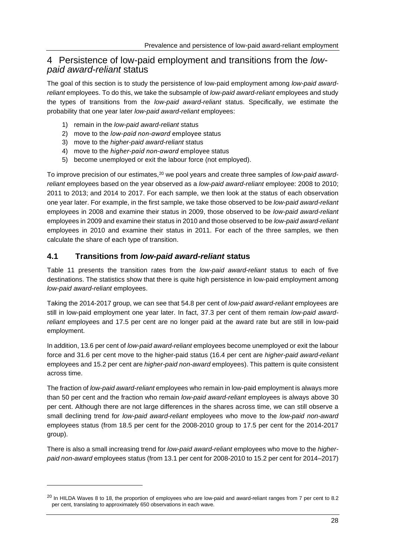## 4 Persistence of low-paid employment and transitions from the *lowpaid award-reliant* status

The goal of this section is to study the persistence of low-paid employment among *low-paid awardreliant* employees. To do this, we take the subsample of *low-paid award-reliant* employees and study the types of transitions from the *low-paid award-reliant* status. Specifically, we estimate the probability that one year later *low-paid award-reliant* employees:

- 1) remain in the *low-paid award-reliant* status
- 2) move to the *low-paid non-award* employee status
- 3) move to the *higher-paid award-reliant* status
- 4) move to the *higher-paid non-award* employee status
- 5) become unemployed or exit the labour force (not employed).

To improve precision of our estimates,<sup>20</sup> we pool years and create three samples of *low-paid awardreliant* employees based on the year observed as a *low-paid award-reliant* employee: 2008 to 2010; 2011 to 2013; and 2014 to 2017. For each sample, we then look at the status of each observation one year later. For example, in the first sample, we take those observed to be *low-paid award-reliant* employees in 2008 and examine their status in 2009, those observed to be *low-paid award-reliant* employees in 2009 and examine their status in 2010 and those observed to be *low-paid award-reliant* employees in 2010 and examine their status in 2011. For each of the three samples, we then calculate the share of each type of transition.

#### **4.1 Transitions from** *low-paid award-reliant* **status**

Table 11 presents the transition rates from the *low-paid award-reliant* status to each of five destinations. The statistics show that there is quite high persistence in low-paid employment among *low-paid award-reliant* employees.

Taking the 2014-2017 group, we can see that 54.8 per cent of *low-paid award-reliant* employees are still in low-paid employment one year later. In fact, 37.3 per cent of them remain *low-paid awardreliant* employees and 17.5 per cent are no longer paid at the award rate but are still in low-paid employment.

In addition, 13.6 per cent of *low-paid award-reliant* employees become unemployed or exit the labour force and 31.6 per cent move to the higher-paid status (16.4 per cent are *higher-paid award-reliant*  employees and 15.2 per cent are *higher-paid non-award* employees). This pattern is quite consistent across time.

The fraction of *low-paid award-reliant* employees who remain in low-paid employment is always more than 50 per cent and the fraction who remain *low-paid award-reliant* employees is always above 30 per cent. Although there are not large differences in the shares across time, we can still observe a small declining trend for *low-paid award-reliant* employees who move to the *low-paid non-award* employees status (from 18.5 per cent for the 2008-2010 group to 17.5 per cent for the 2014-2017 group).

There is also a small increasing trend for *low-paid award-reliant* employees who move to the *higherpaid non-award* employees status (from 13.1 per cent for 2008-2010 to 15.2 per cent for 2014–2017)

<sup>&</sup>lt;sup>20</sup> In HILDA Waves 8 to 18, the proportion of employees who are low-paid and award-reliant ranges from 7 per cent to 8.2 per cent, translating to approximately 650 observations in each wave.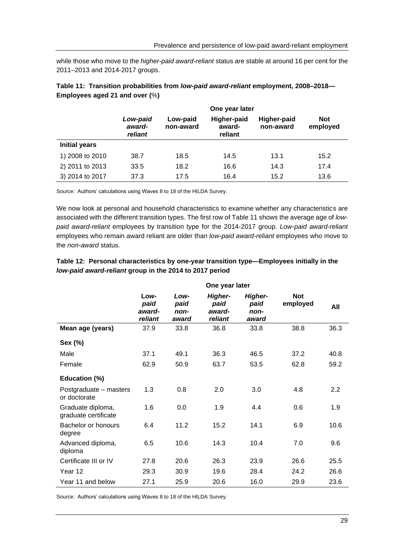while those who move to the *higher-paid award-reliant* status are stable at around 16 per cent for the 2011–2013 and 2014-2017 groups.

|                      | One year later                |                       |                                         |                          |                        |  |  |  |
|----------------------|-------------------------------|-----------------------|-----------------------------------------|--------------------------|------------------------|--|--|--|
|                      | Low-paid<br>award-<br>reliant | Low-paid<br>non-award | <b>Higher-paid</b><br>award-<br>reliant | Higher-paid<br>non-award | <b>Not</b><br>employed |  |  |  |
| <b>Initial years</b> |                               |                       |                                         |                          |                        |  |  |  |
| 1) 2008 to 2010      | 38.7                          | 18.5                  | 14.5                                    | 13.1                     | 15.2                   |  |  |  |
| 2) 2011 to 2013      | 33.5                          | 18.2                  | 16.6                                    | 14.3                     | 17.4                   |  |  |  |
| 3) 2014 to 2017      | 37.3                          | 17.5                  | 16.4                                    | 15.2                     | 13.6                   |  |  |  |

<span id="page-34-0"></span>

| Table 11: Transition probabilities from low-paid award-reliant employment, 2008-2018- |  |
|---------------------------------------------------------------------------------------|--|
| Employees aged 21 and over $(\%)$                                                     |  |

Source: Authors' calculations using Waves 8 to 18 of the HILDA Survey.

We now look at personal and household characteristics to examine whether any characteristics are associated with the different transition types. The first row of Table 11 shows the average age of *lowpaid award-reliant* employees by transition type for the 2014-2017 group. *Low-paid award-reliant*  employees who remain award reliant are older than *low-paid award-reliant* employees who move to the *non-award* status.

|                                           | One year later                    |                               |                                             |                                         |                        |      |  |  |
|-------------------------------------------|-----------------------------------|-------------------------------|---------------------------------------------|-----------------------------------------|------------------------|------|--|--|
|                                           | Low-<br>paid<br>award-<br>reliant | Low-<br>paid<br>non-<br>award | <b>Higher-</b><br>paid<br>award-<br>reliant | <b>Higher-</b><br>paid<br>non-<br>award | <b>Not</b><br>employed | All  |  |  |
| Mean age (years)                          | 37.9                              | 33.8                          | 36.8                                        | 33.8                                    | 38.8                   | 36.3 |  |  |
| Sex (%)                                   |                                   |                               |                                             |                                         |                        |      |  |  |
| Male                                      | 37.1                              | 49.1                          | 36.3                                        | 46.5                                    | 37.2                   | 40.8 |  |  |
| Female                                    | 62.9                              | 50.9                          | 63.7                                        | 53.5                                    | 62.8                   | 59.2 |  |  |
| Education (%)                             |                                   |                               |                                             |                                         |                        |      |  |  |
| Postgraduate - masters<br>or doctorate    | 1.3                               | 0.8                           | 2.0                                         | 3.0                                     | 4.8                    | 2.2  |  |  |
| Graduate diploma,<br>graduate certificate | 1.6                               | 0.0                           | 1.9                                         | 4.4                                     | 0.6                    | 1.9  |  |  |
| Bachelor or honours<br>degree             | 6.4                               | 11.2                          | 15.2                                        | 14.1                                    | 6.9                    | 10.6 |  |  |
| Advanced diploma,<br>diploma              | 6.5                               | 10.6                          | 14.3                                        | 10.4                                    | 7.0                    | 9.6  |  |  |
| Certificate III or IV                     | 27.8                              | 20.6                          | 26.3                                        | 23.9                                    | 26.6                   | 25.5 |  |  |
| Year 12                                   | 29.3                              | 30.9                          | 19.6                                        | 28.4                                    | 24.2                   | 26.6 |  |  |
| Year 11 and below                         | 27.1                              | 25.9                          | 20.6                                        | 16.0                                    | 29.9                   | 23.6 |  |  |

#### <span id="page-34-1"></span>**Table 12: Personal characteristics by one-year transition type—Employees initially in the**  *low-paid award-reliant* **group in the 2014 to 2017 period**

Source: Authors' calculations using Waves 8 to 18 of the HILDA Survey.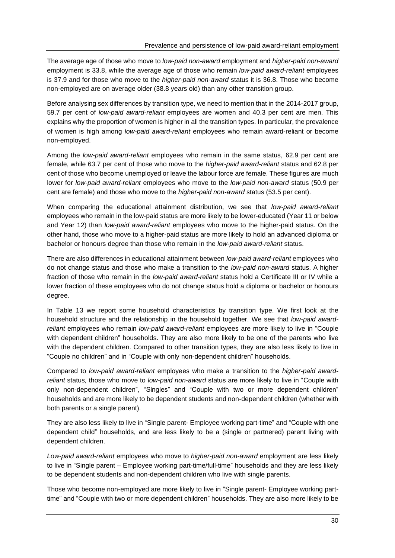The average age of those who move to *low-paid non-award* employment and *higher-paid non-award* employment is 33.8, while the average age of those who remain *low-paid award-reliant* employees is 37.9 and for those who move to the *higher-paid non-award* status it is 36.8. Those who become non-employed are on average older (38.8 years old) than any other transition group.

Before analysing sex differences by transition type, we need to mention that in the 2014-2017 group, 59.7 per cent of *low-paid award-reliant* employees are women and 40.3 per cent are men. This explains why the proportion of women is higher in all the transition types. In particular, the prevalence of women is high among *low-paid award-reliant* employees who remain award-reliant or become non-employed.

Among the *low-paid award-reliant* employees who remain in the same status, 62.9 per cent are female, while 63.7 per cent of those who move to the *higher-paid award-reliant* status and 62.8 per cent of those who become unemployed or leave the labour force are female. These figures are much lower for *low-paid award-reliant* employees who move to the *low-paid non-award* status (50.9 per cent are female) and those who move to the *higher-paid non-award* status (53.5 per cent).

When comparing the educational attainment distribution, we see that *low-paid award-reliant*  employees who remain in the low-paid status are more likely to be lower-educated (Year 11 or below and Year 12) than *low-paid award-reliant* employees who move to the higher-paid status. On the other hand, those who move to a higher-paid status are more likely to hold an advanced diploma or bachelor or honours degree than those who remain in the *low-paid award-reliant* status.

There are also differences in educational attainment between *low-paid award-reliant* employees who do not change status and those who make a transition to the *low-paid non-award* status. A higher fraction of those who remain in the *low-paid award-reliant* status hold a Certificate III or IV while a lower fraction of these employees who do not change status hold a diploma or bachelor or honours degree.

In Table 13 we report some household characteristics by transition type. We first look at the household structure and the relationship in the household together. We see that *low-paid awardreliant* employees who remain *low-paid award-reliant* employees are more likely to live in "Couple with dependent children" households. They are also more likely to be one of the parents who live with the dependent children. Compared to other transition types, they are also less likely to live in "Couple no children" and in "Couple with only non-dependent children" households.

Compared to *low-paid award-reliant* employees who make a transition to the *higher-paid awardreliant* status*,* those who move to *low-paid non-award* status are more likely to live in "Couple with only non-dependent children", "Singles" and "Couple with two or more dependent children" households and are more likely to be dependent students and non-dependent children (whether with both parents or a single parent).

They are also less likely to live in "Single parent- Employee working part-time" and "Couple with one dependent child" households, and are less likely to be a (single or partnered) parent living with dependent children.

*Low-paid award-reliant* employees who move to *higher-paid non-award* employment are less likely to live in "Single parent – Employee working part-time/full-time" households and they are less likely to be dependent students and non-dependent children who live with single parents.

Those who become non-employed are more likely to live in "Single parent- Employee working parttime" and "Couple with two or more dependent children" households. They are also more likely to be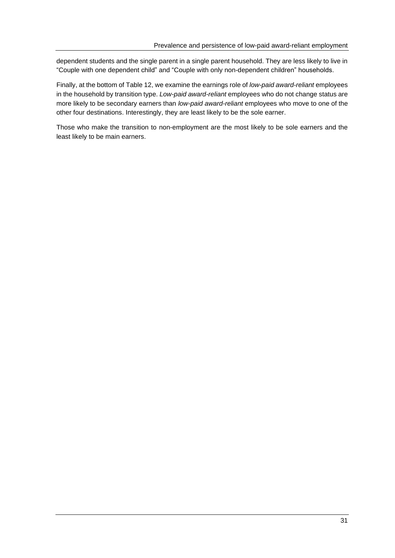dependent students and the single parent in a single parent household. They are less likely to live in "Couple with one dependent child" and "Couple with only non-dependent children" households.

Finally, at the bottom of Table 12, we examine the earnings role of *low-paid award-reliant* employees in the household by transition type. *Low-paid award-reliant* employees who do not change status are more likely to be secondary earners than *low-paid award-reliant* employees who move to one of the other four destinations. Interestingly, they are least likely to be the sole earner.

Those who make the transition to non-employment are the most likely to be sole earners and the least likely to be main earners.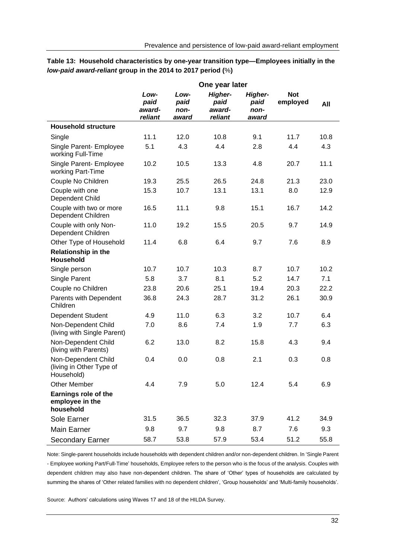<span id="page-37-0"></span>

| Table 13: Household characteristics by one-year transition type—Employees initially in the |
|--------------------------------------------------------------------------------------------|
| low-paid award-reliant group in the 2014 to 2017 period (%)                                |
|                                                                                            |

|                                                               |                                   |                               | One year later                       |                                         |                        |      |
|---------------------------------------------------------------|-----------------------------------|-------------------------------|--------------------------------------|-----------------------------------------|------------------------|------|
|                                                               | Low-<br>paid<br>award-<br>reliant | Low-<br>paid<br>non-<br>award | Higher-<br>paid<br>award-<br>reliant | <b>Higher-</b><br>paid<br>non-<br>award | <b>Not</b><br>employed | All  |
| <b>Household structure</b>                                    |                                   |                               |                                      |                                         |                        |      |
| Single                                                        | 11.1                              | 12.0                          | 10.8                                 | 9.1                                     | 11.7                   | 10.8 |
| Single Parent- Employee<br>working Full-Time                  | 5.1                               | 4.3                           | 4.4                                  | 2.8                                     | 4.4                    | 4.3  |
| Single Parent- Employee<br>working Part-Time                  | 10.2                              | 10.5                          | 13.3                                 | 4.8                                     | 20.7                   | 11.1 |
| Couple No Children                                            | 19.3                              | 25.5                          | 26.5                                 | 24.8                                    | 21.3                   | 23.0 |
| Couple with one<br>Dependent Child                            | 15.3                              | 10.7                          | 13.1                                 | 13.1                                    | 8.0                    | 12.9 |
| Couple with two or more<br>Dependent Children                 | 16.5                              | 11.1                          | 9.8                                  | 15.1                                    | 16.7                   | 14.2 |
| Couple with only Non-<br>Dependent Children                   | 11.0                              | 19.2                          | 15.5                                 | 20.5                                    | 9.7                    | 14.9 |
| Other Type of Household                                       | 11.4                              | 6.8                           | 6.4                                  | 9.7                                     | 7.6                    | 8.9  |
| <b>Relationship in the</b><br>Household                       |                                   |                               |                                      |                                         |                        |      |
| Single person                                                 | 10.7                              | 10.7                          | 10.3                                 | 8.7                                     | 10.7                   | 10.2 |
| Single Parent                                                 | 5.8                               | 3.7                           | 8.1                                  | 5.2                                     | 14.7                   | 7.1  |
| Couple no Children                                            | 23.8                              | 20.6                          | 25.1                                 | 19.4                                    | 20.3                   | 22.2 |
| Parents with Dependent<br>Children                            | 36.8                              | 24.3                          | 28.7                                 | 31.2                                    | 26.1                   | 30.9 |
| Dependent Student                                             | 4.9                               | 11.0                          | 6.3                                  | 3.2                                     | 10.7                   | 6.4  |
| Non-Dependent Child<br>(living with Single Parent)            | 7.0                               | 8.6                           | 7.4                                  | 1.9                                     | 7.7                    | 6.3  |
| Non-Dependent Child<br>(living with Parents)                  | 6.2                               | 13.0                          | 8.2                                  | 15.8                                    | 4.3                    | 9.4  |
| Non-Dependent Child<br>(living in Other Type of<br>Household) | 0.4                               | 0.0                           | 0.8                                  | 2.1                                     | 0.3                    | 0.8  |
| <b>Other Member</b>                                           | 4.4                               | 7.9                           | 5.0                                  | 12.4                                    | 5.4                    | 6.9  |
| Earnings role of the<br>employee in the<br>household          |                                   |                               |                                      |                                         |                        |      |
| Sole Earner                                                   | 31.5                              | 36.5                          | 32.3                                 | 37.9                                    | 41.2                   | 34.9 |
| <b>Main Earner</b>                                            | 9.8                               | 9.7                           | 9.8                                  | 8.7                                     | 7.6                    | 9.3  |
| <b>Secondary Earner</b>                                       | 58.7                              | 53.8                          | 57.9                                 | 53.4                                    | 51.2                   | 55.8 |

Note: Single-parent households include households with dependent children and/or non-dependent children. In 'Single Parent - Employee working Part/Full-Time' households, Employee refers to the person who is the focus of the analysis. Couples with dependent children may also have non-dependent children. The share of 'Other' types of households are calculated by summing the shares of 'Other related families with no dependent children', 'Group households' and 'Multi-family households'.

Source: Authors' calculations using Waves 17 and 18 of the HILDA Survey.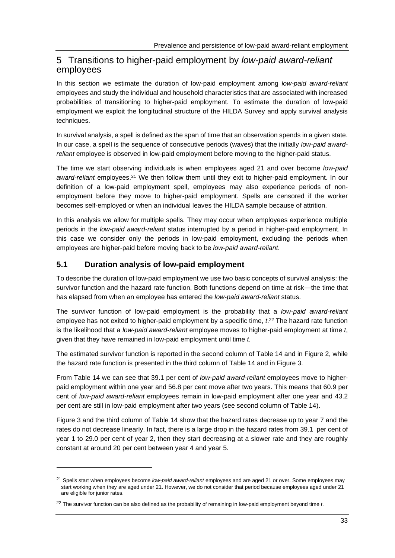## 5 Transitions to higher-paid employment by *low-paid award-reliant* employees

In this section we estimate the duration of low-paid employment among *low-paid award-reliant* employees and study the individual and household characteristics that are associated with increased probabilities of transitioning to higher-paid employment. To estimate the duration of low-paid employment we exploit the longitudinal structure of the HILDA Survey and apply survival analysis techniques.

In survival analysis, a spell is defined as the span of time that an observation spends in a given state. In our case, a spell is the sequence of consecutive periods (waves) that the initially *low-paid awardreliant* employee is observed in low-paid employment before moving to the higher-paid status.

The time we start observing individuals is when employees aged 21 and over become *low-paid*  award-reliant employees.<sup>21</sup> We then follow them until they exit to higher-paid employment. In our definition of a low-paid employment spell, employees may also experience periods of nonemployment before they move to higher-paid employment. Spells are censored if the worker becomes self-employed or when an individual leaves the HILDA sample because of attrition.

In this analysis we allow for multiple spells. They may occur when employees experience multiple periods in the *low-paid award-reliant* status interrupted by a period in higher-paid employment. In this case we consider only the periods in low-paid employment, excluding the periods when employees are higher-paid before moving back to be *low-paid award-reliant*.

### **5.1 Duration analysis of low-paid employment**

To describe the duration of low-paid employment we use two basic concepts of survival analysis: the survivor function and the hazard rate function. Both functions depend on time at risk—the time that has elapsed from when an employee has entered the *low-paid award-reliant* status.

The survivor function of low-paid employment is the probability that a *low-paid award-reliant* employee has not exited to higher-paid employment by a specific time, *t*. <sup>22</sup> The hazard rate function is the likelihood that a *low-paid award-reliant* employee moves to higher-paid employment at time *t*, given that they have remained in low-paid employment until time *t*.

The estimated survivor function is reported in the second column of Table 14 and in Figure 2, while the hazard rate function is presented in the third column of Table 14 and in Figure 3.

From Table 14 we can see that 39.1 per cent of *low-paid award-reliant* employees move to higherpaid employment within one year and 56.8 per cent move after two years. This means that 60.9 per cent of *low-paid award-reliant* employees remain in low-paid employment after one year and 43.2 per cent are still in low-paid employment after two years (see second column of Table 14).

Figure 3 and the third column of Table 14 show that the hazard rates decrease up to year 7 and the rates do not decrease linearly. In fact, there is a large drop in the hazard rates from 39.1 per cent of year 1 to 29.0 per cent of year 2, then they start decreasing at a slower rate and they are roughly constant at around 20 per cent between year 4 and year 5.

<sup>21</sup> Spells start when employees become *low-paid award-reliant* employees and are aged 21 or over. Some employees may start working when they are aged under 21. However, we do not consider that period because employees aged under 21 are eligible for junior rates.

<sup>22</sup> The survivor function can be also defined as the probability of remaining in low-paid employment beyond time *t*.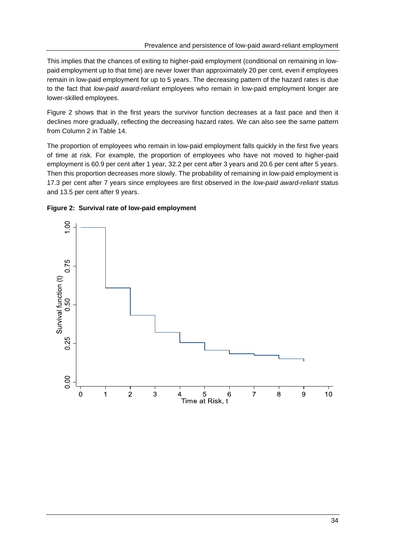This implies that the chances of exiting to higher-paid employment (conditional on remaining in lowpaid employment up to that time) are never lower than approximately 20 per cent, even if employees remain in low-paid employment for up to 5 years. The decreasing pattern of the hazard rates is due to the fact that *low-paid award-reliant* employees who remain in low-paid employment longer are lower-skilled employees.

Figure 2 shows that in the first years the survivor function decreases at a fast pace and then it declines more gradually, reflecting the decreasing hazard rates. We can also see the same pattern from Column 2 in Table 14.

The proportion of employees who remain in low-paid employment falls quickly in the first five years of time at risk. For example, the proportion of employees who have not moved to higher-paid employment is 60.9 per cent after 1 year, 32.2 per cent after 3 years and 20.6 per cent after 5 years. Then this proportion decreases more slowly. The probability of remaining in low-paid employment is 17.3 per cent after 7 years since employees are first observed in the *low-paid award-reliant* status and 13.5 per cent after 9 years.

<span id="page-39-0"></span>

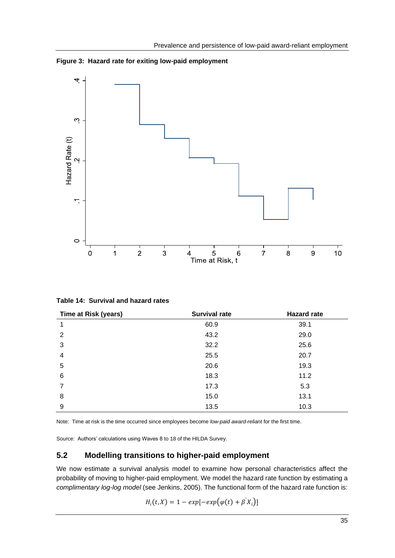<span id="page-40-1"></span>**Figure 3: Hazard rate for exiting low-paid employment**



<span id="page-40-0"></span>**Table 14: Survival and hazard rates**

| Time at Risk (years) | <b>Survival rate</b> | <b>Hazard rate</b> |
|----------------------|----------------------|--------------------|
| 1                    | 60.9                 | 39.1               |
| 2                    | 43.2                 | 29.0               |
| 3                    | 32.2                 | 25.6               |
| $\overline{4}$       | 25.5                 | 20.7               |
| 5                    | 20.6                 | 19.3               |
| 6                    | 18.3                 | 11.2               |
| $\overline{7}$       | 17.3                 | 5.3                |
| 8                    | 15.0                 | 13.1               |
| 9                    | 13.5                 | 10.3               |

Note: Time at risk is the time occurred since employees become *low-paid award-reliant* for the first time.

Source: Authors' calculations using Waves 8 to 18 of the HILDA Survey.

#### **5.2 Modelling transitions to higher-paid employment**

We now estimate a survival analysis model to examine how personal characteristics affect the probability of moving to higher-paid employment. We model the hazard rate function by estimating a *complimentary log-log model* (see Jenkins, 2005). The functional form of the hazard rate function is:

$$
H_i(t, X) = 1 - exp[-exp(\varphi(t) + \beta'X_i)]
$$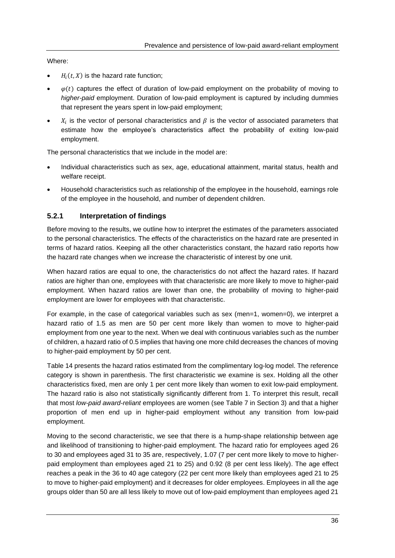#### Where:

- $\bullet$   $H_i(t, X)$  is the hazard rate function;
- $\varphi(t)$  captures the effect of duration of low-paid employment on the probability of moving to *higher-paid* employment. Duration of low-paid employment is captured by including dummies that represent the years spent in low-paid employment;
- $X_i$  is the vector of personal characteristics and  $\beta$  is the vector of associated parameters that estimate how the employee's characteristics affect the probability of exiting low-paid employment.

The personal characteristics that we include in the model are:

- Individual characteristics such as sex, age, educational attainment, marital status, health and welfare receipt.
- Household characteristics such as relationship of the employee in the household, earnings role of the employee in the household, and number of dependent children.

#### **5.2.1 Interpretation of findings**

Before moving to the results, we outline how to interpret the estimates of the parameters associated to the personal characteristics. The effects of the characteristics on the hazard rate are presented in terms of hazard ratios. Keeping all the other characteristics constant, the hazard ratio reports how the hazard rate changes when we increase the characteristic of interest by one unit.

When hazard ratios are equal to one, the characteristics do not affect the hazard rates. If hazard ratios are higher than one, employees with that characteristic are more likely to move to higher-paid employment. When hazard ratios are lower than one, the probability of moving to higher-paid employment are lower for employees with that characteristic.

For example, in the case of categorical variables such as sex (men=1, women=0), we interpret a hazard ratio of 1.5 as men are 50 per cent more likely than women to move to higher-paid employment from one year to the next. When we deal with continuous variables such as the number of children, a hazard ratio of 0.5 implies that having one more child decreases the chances of moving to higher-paid employment by 50 per cent.

Table 14 presents the hazard ratios estimated from the complimentary log-log model. The reference category is shown in parenthesis. The first characteristic we examine is sex. Holding all the other characteristics fixed, men are only 1 per cent more likely than women to exit low-paid employment. The hazard ratio is also not statistically significantly different from 1. To interpret this result, recall that most *low-paid award-reliant* employees are women (see Table 7 in Section 3) and that a higher proportion of men end up in higher-paid employment without any transition from low-paid employment.

Moving to the second characteristic, we see that there is a hump-shape relationship between age and likelihood of transitioning to higher-paid employment. The hazard ratio for employees aged 26 to 30 and employees aged 31 to 35 are, respectively, 1.07 (7 per cent more likely to move to higherpaid employment than employees aged 21 to 25) and 0.92 (8 per cent less likely). The age effect reaches a peak in the 36 to 40 age category (22 per cent more likely than employees aged 21 to 25 to move to higher-paid employment) and it decreases for older employees. Employees in all the age groups older than 50 are all less likely to move out of low-paid employment than employees aged 21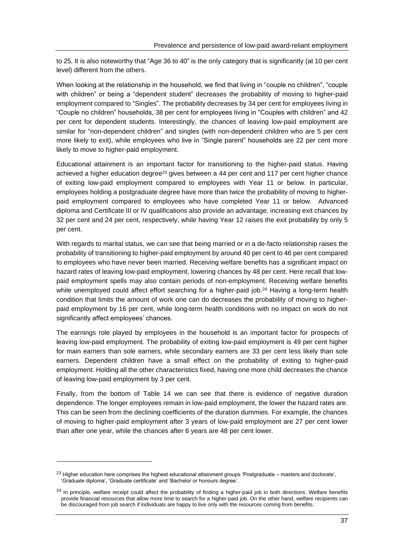to 25. It is also noteworthy that "Age 36 to 40" is the only category that is significantly (at 10 per cent level) different from the others.

When looking at the relationship in the household, we find that living in "couple no children", "couple with children" or being a "dependent student" decreases the probability of moving to higher-paid employment compared to "Singles". The probability decreases by 34 per cent for employees living in "Couple no children" households, 38 per cent for employees living in "Couples with children" and 42 per cent for dependent students. Interestingly, the chances of leaving low-paid employment are similar for "non-dependent children" and singles (with non-dependent children who are 5 per cent more likely to exit), while employees who live in "Single parent" households are 22 per cent more likely to move to higher-paid employment.

Educational attainment is an important factor for transitioning to the higher-paid status. Having achieved a higher education degree<sup>23</sup> gives between a 44 per cent and 117 per cent higher chance of exiting low-paid employment compared to employees with Year 11 or below. In particular, employees holding a postgraduate degree have more than twice the probability of moving to higherpaid employment compared to employees who have completed Year 11 or below. Advanced diploma and Certificate III or IV qualifications also provide an advantage, increasing exit chances by 32 per cent and 24 per cent, respectively, while having Year 12 raises the exit probability by only 5 per cent.

With regards to marital status, we can see that being married or in a de-facto relationship raises the probability of transitioning to higher-paid employment by around 40 per cent to 46 per cent compared to employees who have never been married. Receiving welfare benefits has a significant impact on hazard rates of leaving low-paid employment, lowering chances by 48 per cent. Here recall that lowpaid employment spells may also contain periods of non-employment. Receiving welfare benefits while unemployed could affect effort searching for a higher-paid job.<sup>24</sup> Having a long-term health condition that limits the amount of work one can do decreases the probability of moving to higherpaid employment by 16 per cent, while long-term health conditions with no impact on work do not significantly affect employees' chances.

The earnings role played by employees in the household is an important factor for prospects of leaving low-paid employment. The probability of exiting low-paid employment is 49 per cent higher for main earners than sole earners, while secondary earners are 33 per cent less likely than sole earners. Dependent children have a small effect on the probability of exiting to higher-paid employment. Holding all the other characteristics fixed, having one more child decreases the chance of leaving low-paid employment by 3 per cent.

Finally, from the bottom of Table 14 we can see that there is evidence of negative duration dependence. The longer employees remain in low-paid employment, the lower the hazard rates are. This can be seen from the declining coefficients of the duration dummies. For example, the chances of moving to higher-paid employment after 3 years of low-paid employment are 27 per cent lower than after one year, while the chances after 6 years are 48 per cent lower.

 $23$  Higher education here comprises the highest educational attainment groups 'Postgraduate – masters and doctorate', 'Graduate diploma', 'Graduate certificate' and 'Bachelor or honours degree'.

<sup>&</sup>lt;sup>24</sup> In principle, welfare receipt could affect the probability of finding a higher-paid job in both directions. Welfare benefits provide financial resources that allow more time to search for a higher-paid job. On the other hand, welfare recipients can be discouraged from job search if individuals are happy to live only with the resources coming from benefits.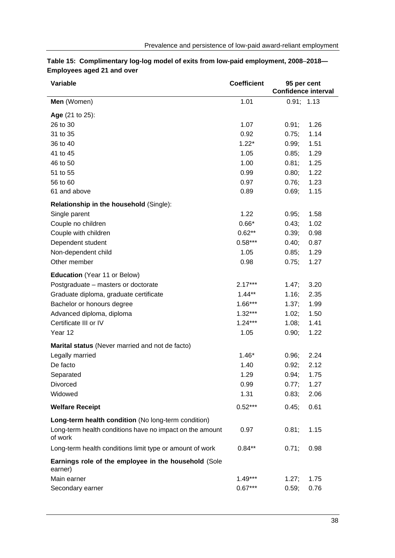| Variable                                                            | <b>Coefficient</b> | 95 per cent<br>Confidence interval |
|---------------------------------------------------------------------|--------------------|------------------------------------|
| Men (Women)                                                         | 1.01               | 0.91; 1.13                         |
| Age (21 to 25):                                                     |                    |                                    |
| 26 to 30                                                            | 1.07               | 1.26<br>0.91;                      |
| 31 to 35                                                            | 0.92               | 1.14<br>0.75;                      |
| 36 to 40                                                            | $1.22*$            | 0.99;<br>1.51                      |
| 41 to 45                                                            | 1.05               | 1.29<br>0.85;                      |
| 46 to 50                                                            | 1.00               | 0.81;<br>1.25                      |
| 51 to 55                                                            | 0.99               | 1.22<br>0.80;                      |
| 56 to 60                                                            | 0.97               | 0.76;<br>1.23                      |
| 61 and above                                                        | 0.89               | 1.15<br>0.69;                      |
| <b>Relationship in the household (Single):</b>                      |                    |                                    |
| Single parent                                                       | 1.22               | 1.58<br>0.95;                      |
| Couple no children                                                  | $0.66*$            | 0.43;<br>1.02                      |
| Couple with children                                                | $0.62**$           | 0.39;<br>0.98                      |
| Dependent student                                                   | $0.58***$          | 0.87<br>0.40;                      |
| Non-dependent child                                                 | 1.05               | 0.85;<br>1.29                      |
| Other member                                                        | 0.98               | 0.75;<br>1.27                      |
| <b>Education</b> (Year 11 or Below)                                 |                    |                                    |
| Postgraduate - masters or doctorate                                 | $2.17***$          | 1.47;<br>3.20                      |
| Graduate diploma, graduate certificate                              | $1.44**$           | 2.35<br>1.16;                      |
| Bachelor or honours degree                                          | $1.66***$          | 1.99<br>1.37;                      |
| Advanced diploma, diploma                                           | $1.32***$          | 1.50<br>1.02;                      |
| Certificate III or IV                                               | $1.24***$          | 1.08;<br>1.41                      |
| Year 12                                                             | 1.05               | 1.22<br>0.90;                      |
| Marital status (Never married and not de facto)                     |                    |                                    |
| Legally married                                                     | $1.46*$            | 2.24<br>0.96;                      |
| De facto                                                            | 1.40               | 0.92;<br>2.12                      |
| Separated                                                           | 1.29               | 0.94;<br>1.75                      |
| Divorced                                                            | 0.99               | 0.77;<br>1.27                      |
| Widowed                                                             | 1.31               | 0.83;<br>2.06                      |
| <b>Welfare Receipt</b>                                              | $0.52***$          | 0.45;<br>0.61                      |
| Long-term health condition (No long-term condition)                 |                    |                                    |
| Long-term health conditions have no impact on the amount<br>of work | 0.97               | 0.81;<br>1.15                      |
| Long-term health conditions limit type or amount of work            | $0.84**$           | 0.98<br>0.71;                      |
| Earnings role of the employee in the household (Sole<br>earner)     |                    |                                    |
| Main earner                                                         | $1.49***$          | 1.27;<br>1.75                      |
| Secondary earner                                                    | $0.67***$          | 0.76<br>0.59;                      |

#### <span id="page-43-0"></span>**Table 15: Complimentary log-log model of exits from low-paid employment, 2008**–**2018— Employees aged 21 and over**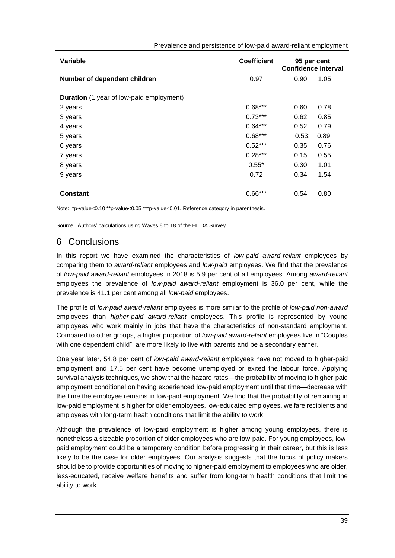| Variable                                        | <b>Coefficient</b> | 95 per cent<br><b>Confidence interval</b> |  |
|-------------------------------------------------|--------------------|-------------------------------------------|--|
| Number of dependent children                    | 0.97               | 0.90;<br>1.05                             |  |
| <b>Duration</b> (1 year of low-paid employment) |                    |                                           |  |
| 2 years                                         | $0.68***$          | 0.60;<br>0.78                             |  |
| 3 years                                         | $0.73***$          | 0.62;<br>0.85                             |  |
| 4 years                                         | $0.64***$          | 0.52;<br>0.79                             |  |
| 5 years                                         | $0.68***$          | 0.53;<br>0.89                             |  |
| 6 years                                         | $0.52***$          | 0.35;<br>0.76                             |  |
| 7 years                                         | $0.28***$          | 0.15;<br>0.55                             |  |
| 8 years                                         | $0.55*$            | 0.30;<br>1.01                             |  |
| 9 years                                         | 0.72               | 0.34;<br>1.54                             |  |
|                                                 |                    |                                           |  |
| <b>Constant</b>                                 | $0.66***$          | 0.54;<br>0.80                             |  |

#### Prevalence and persistence of low-paid award-reliant employment

Note: \*p-value<0.10 \*\*p-value<0.05 \*\*\*p-value<0.01. Reference category in parenthesis.

Source: Authors' calculations using Waves 8 to 18 of the HILDA Survey.

## 6 Conclusions

In this report we have examined the characteristics of *low-paid award-reliant* employees by comparing them to *award-reliant* employees and *low-paid* employees. We find that the prevalence of *low-paid award-reliant* employees in 2018 is 5.9 per cent of all employees. Among *award-reliant*  employees the prevalence of *low-paid award-reliant* employment is 36.0 per cent, while the prevalence is 41.1 per cent among all *low-paid* employees.

The profile of *low-paid award-reliant* employees is more similar to the profile of *low-paid non-award* employees than *higher-paid award-reliant* employees. This profile is represented by young employees who work mainly in jobs that have the characteristics of non-standard employment. Compared to other groups, a higher proportion of *low-paid award-reliant* employees live in "Couples with one dependent child", are more likely to live with parents and be a secondary earner.

One year later, 54.8 per cent of *low-paid award-reliant* employees have not moved to higher-paid employment and 17.5 per cent have become unemployed or exited the labour force. Applying survival analysis techniques, we show that the hazard rates—the probability of moving to higher-paid employment conditional on having experienced low-paid employment until that time—decrease with the time the employee remains in low-paid employment. We find that the probability of remaining in low-paid employment is higher for older employees, low-educated employees, welfare recipients and employees with long-term health conditions that limit the ability to work.

Although the prevalence of low-paid employment is higher among young employees, there is nonetheless a sizeable proportion of older employees who are low-paid. For young employees, lowpaid employment could be a temporary condition before progressing in their career, but this is less likely to be the case for older employees. Our analysis suggests that the focus of policy makers should be to provide opportunities of moving to higher-paid employment to employees who are older, less-educated, receive welfare benefits and suffer from long-term health conditions that limit the ability to work.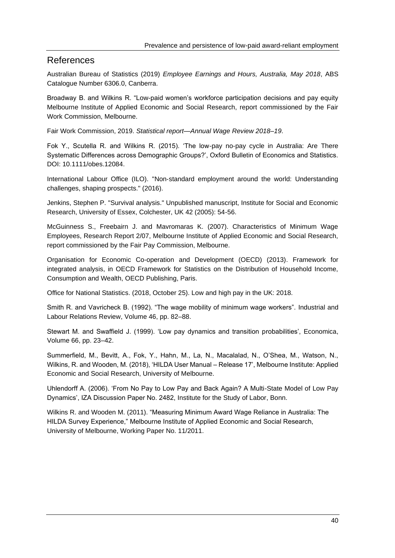## References

Australian Bureau of Statistics (2019) *Employee Earnings and Hours, Australia, May 2018*, ABS Catalogue Number 6306.0, Canberra.

Broadway B. and Wilkins R. "Low-paid women's workforce participation decisions and pay equity Melbourne Institute of Applied Economic and Social Research, report commissioned by the Fair Work Commission, Melbourne.

Fair Work Commission, 2019. *Statistical report—Annual Wage Review 2018–19*.

Fok Y., Scutella R. and Wilkins R. (2015). 'The low-pay no-pay cycle in Australia: Are There Systematic Differences across Demographic Groups?', Oxford Bulletin of Economics and Statistics. DOI: 10.1111/obes.12084.

International Labour Office (ILO). "Non‐standard employment around the world: Understanding challenges, shaping prospects." (2016).

Jenkins, Stephen P. "Survival analysis." Unpublished manuscript, Institute for Social and Economic Research, University of Essex, Colchester, UK 42 (2005): 54-56.

McGuinness S., Freebairn J. and Mavromaras K. (2007). Characteristics of Minimum Wage Employees, Research Report 2/07, Melbourne Institute of Applied Economic and Social Research, report commissioned by the Fair Pay Commission, Melbourne.

Organisation for Economic Co-operation and Development (OECD) (2013). Framework for integrated analysis, in OECD Framework for Statistics on the Distribution of Household Income, Consumption and Wealth, OECD Publishing, Paris.

Office for National Statistics. (2018, October 25). Low and high pay in the UK: 2018.

Smith R. and Vavricheck B. (1992). "The wage mobility of minimum wage workers". Industrial and Labour Relations Review, Volume 46, pp. 82–88.

Stewart M. and Swaffield J. (1999). 'Low pay dynamics and transition probabilities', Economica, Volume 66, pp. 23–42.

Summerfield, M., Bevitt, A., Fok, Y., Hahn, M., La, N., Macalalad, N., O'Shea, M., Watson, N., Wilkins, R. and Wooden, M. (2018), 'HILDA User Manual – Release 17', Melbourne Institute: Applied Economic and Social Research, University of Melbourne.

Uhlendorff A. (2006). 'From No Pay to Low Pay and Back Again? A Multi-State Model of Low Pay Dynamics', IZA Discussion Paper No. 2482, Institute for the Study of Labor, Bonn.

Wilkins R. and Wooden M. (2011). "Measuring Minimum Award Wage Reliance in Australia: The HILDA Survey Experience," Melbourne Institute of Applied Economic and Social Research, University of Melbourne, Working Paper No. 11/2011.